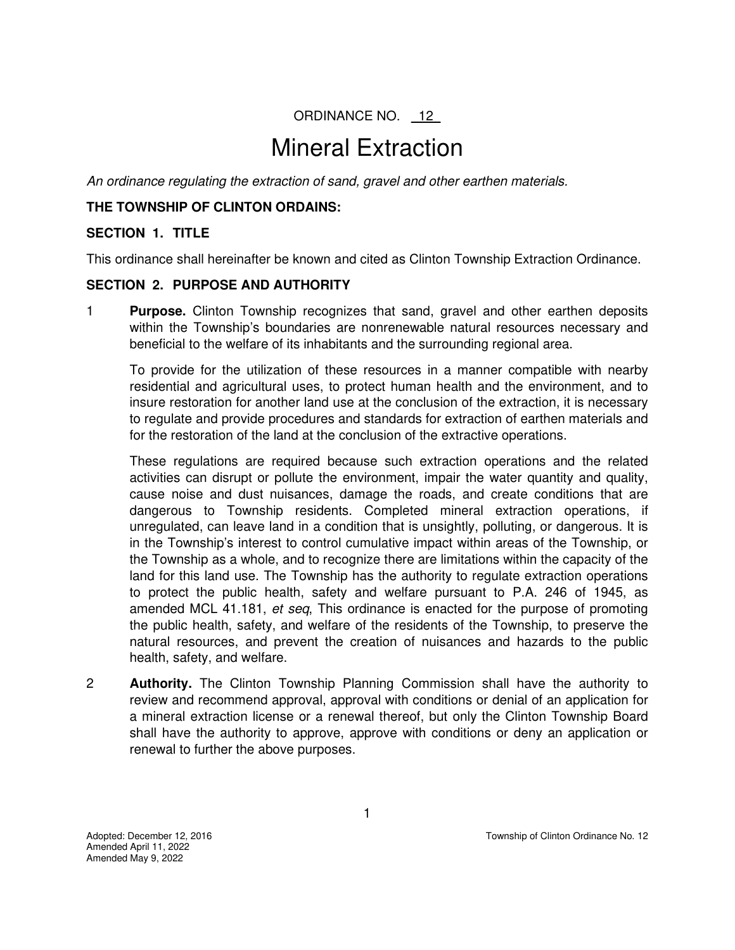ORDINANCE NO. 12

# Mineral Extraction

*An ordinance regulating the extraction of sand, gravel and other earthen materials.* 

#### **THE TOWNSHIP OF CLINTON ORDAINS:**

## **SECTION 1. TITLE**

This ordinance shall hereinafter be known and cited as Clinton Township Extraction Ordinance.

#### **SECTION 2. PURPOSE AND AUTHORITY**

1 **Purpose.** Clinton Township recognizes that sand, gravel and other earthen deposits within the Township's boundaries are nonrenewable natural resources necessary and beneficial to the welfare of its inhabitants and the surrounding regional area.

To provide for the utilization of these resources in a manner compatible with nearby residential and agricultural uses, to protect human health and the environment, and to insure restoration for another land use at the conclusion of the extraction, it is necessary to regulate and provide procedures and standards for extraction of earthen materials and for the restoration of the land at the conclusion of the extractive operations.

These regulations are required because such extraction operations and the related activities can disrupt or pollute the environment, impair the water quantity and quality, cause noise and dust nuisances, damage the roads, and create conditions that are dangerous to Township residents. Completed mineral extraction operations, if unregulated, can leave land in a condition that is unsightly, polluting, or dangerous. It is in the Township's interest to control cumulative impact within areas of the Township, or the Township as a whole, and to recognize there are limitations within the capacity of the land for this land use. The Township has the authority to regulate extraction operations to protect the public health, safety and welfare pursuant to P.A. 246 of 1945, as amended MCL 41.181, *et seq*, This ordinance is enacted for the purpose of promoting the public health, safety, and welfare of the residents of the Township, to preserve the natural resources, and prevent the creation of nuisances and hazards to the public health, safety, and welfare.

2 **Authority.** The Clinton Township Planning Commission shall have the authority to review and recommend approval, approval with conditions or denial of an application for a mineral extraction license or a renewal thereof, but only the Clinton Township Board shall have the authority to approve, approve with conditions or deny an application or renewal to further the above purposes.

Amended April 11, 2022 Amended May 9, 2022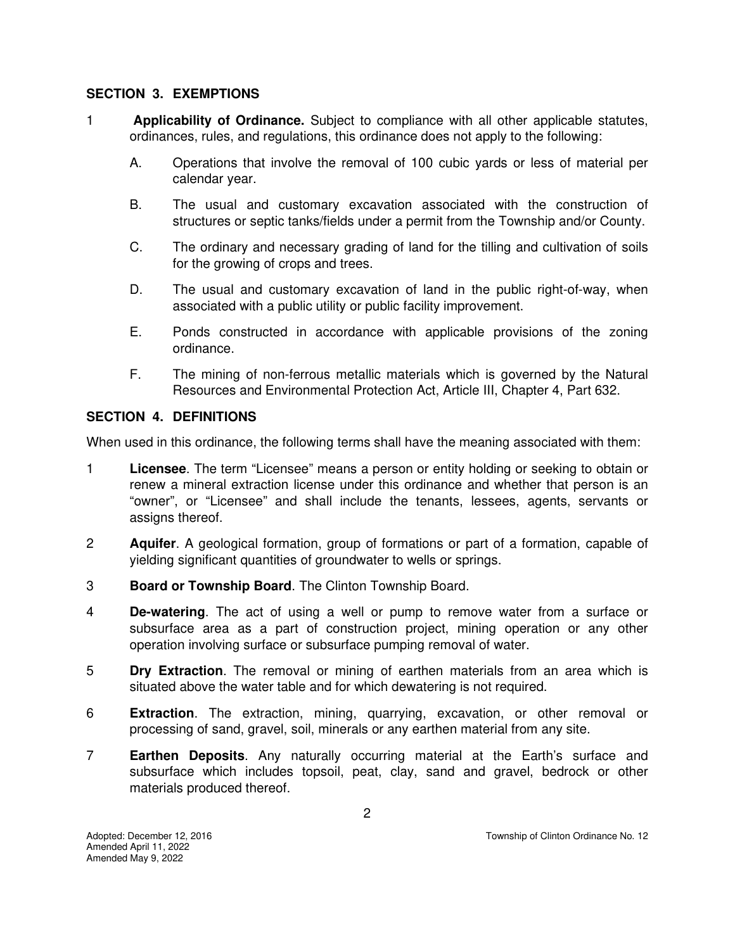#### **SECTION 3. EXEMPTIONS**

- 1 **Applicability of Ordinance.** Subject to compliance with all other applicable statutes, ordinances, rules, and regulations, this ordinance does not apply to the following:
	- A. Operations that involve the removal of 100 cubic yards or less of material per calendar year.
	- B. The usual and customary excavation associated with the construction of structures or septic tanks/fields under a permit from the Township and/or County.
	- C. The ordinary and necessary grading of land for the tilling and cultivation of soils for the growing of crops and trees.
	- D. The usual and customary excavation of land in the public right-of-way, when associated with a public utility or public facility improvement.
	- E. Ponds constructed in accordance with applicable provisions of the zoning ordinance.
	- F. The mining of non-ferrous metallic materials which is governed by the Natural Resources and Environmental Protection Act, Article III, Chapter 4, Part 632.

#### **SECTION 4. DEFINITIONS**

When used in this ordinance, the following terms shall have the meaning associated with them:

- 1 **Licensee**. The term "Licensee" means a person or entity holding or seeking to obtain or renew a mineral extraction license under this ordinance and whether that person is an "owner", or "Licensee" and shall include the tenants, lessees, agents, servants or assigns thereof.
- 2 **Aquifer**. A geological formation, group of formations or part of a formation, capable of yielding significant quantities of groundwater to wells or springs.
- 3 **Board or Township Board**. The Clinton Township Board.
- 4 **De-watering**. The act of using a well or pump to remove water from a surface or subsurface area as a part of construction project, mining operation or any other operation involving surface or subsurface pumping removal of water.
- 5 **Dry Extraction**. The removal or mining of earthen materials from an area which is situated above the water table and for which dewatering is not required.
- 6 **Extraction**. The extraction, mining, quarrying, excavation, or other removal or processing of sand, gravel, soil, minerals or any earthen material from any site.
- 7 **Earthen Deposits**. Any naturally occurring material at the Earth's surface and subsurface which includes topsoil, peat, clay, sand and gravel, bedrock or other materials produced thereof.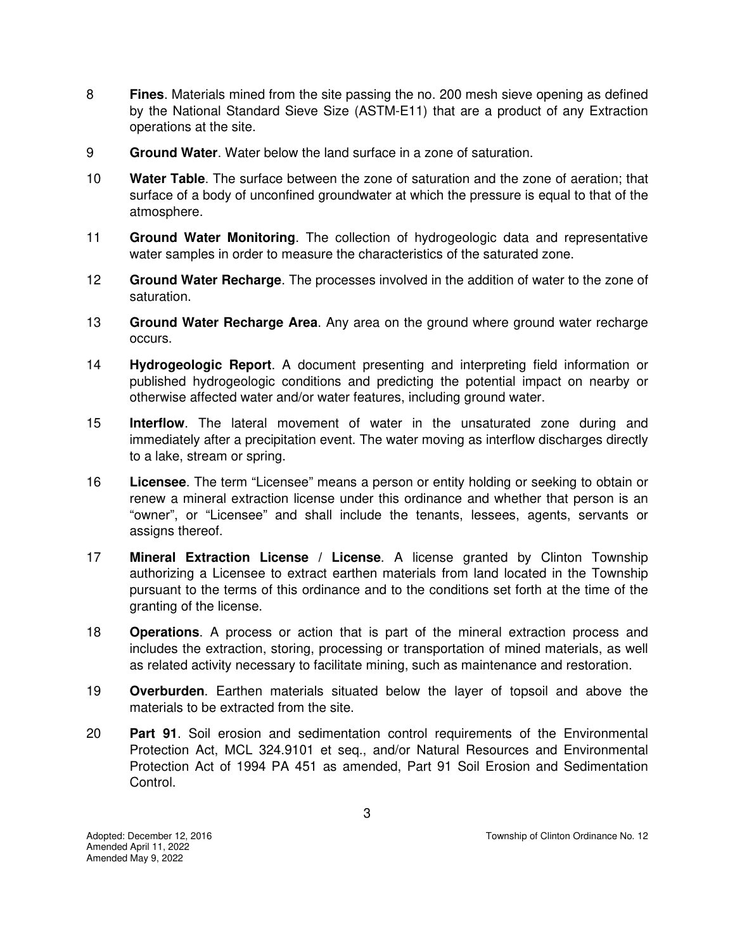- 8 **Fines**. Materials mined from the site passing the no. 200 mesh sieve opening as defined by the National Standard Sieve Size (ASTM-E11) that are a product of any Extraction operations at the site.
- 9 **Ground Water**. Water below the land surface in a zone of saturation.
- 10 **Water Table**. The surface between the zone of saturation and the zone of aeration; that surface of a body of unconfined groundwater at which the pressure is equal to that of the atmosphere.
- 11 **Ground Water Monitoring**. The collection of hydrogeologic data and representative water samples in order to measure the characteristics of the saturated zone.
- 12 **Ground Water Recharge**. The processes involved in the addition of water to the zone of saturation.
- 13 **Ground Water Recharge Area**. Any area on the ground where ground water recharge occurs.
- 14 **Hydrogeologic Report**. A document presenting and interpreting field information or published hydrogeologic conditions and predicting the potential impact on nearby or otherwise affected water and/or water features, including ground water.
- 15 **Interflow**. The lateral movement of water in the unsaturated zone during and immediately after a precipitation event. The water moving as interflow discharges directly to a lake, stream or spring.
- 16 **Licensee**. The term "Licensee" means a person or entity holding or seeking to obtain or renew a mineral extraction license under this ordinance and whether that person is an "owner", or "Licensee" and shall include the tenants, lessees, agents, servants or assigns thereof.
- 17 **Mineral Extraction License / License**. A license granted by Clinton Township authorizing a Licensee to extract earthen materials from land located in the Township pursuant to the terms of this ordinance and to the conditions set forth at the time of the granting of the license.
- 18 **Operations**. A process or action that is part of the mineral extraction process and includes the extraction, storing, processing or transportation of mined materials, as well as related activity necessary to facilitate mining, such as maintenance and restoration.
- 19 **Overburden**. Earthen materials situated below the layer of topsoil and above the materials to be extracted from the site.
- 20 **Part 91**. Soil erosion and sedimentation control requirements of the Environmental Protection Act, MCL 324.9101 et seq., and/or Natural Resources and Environmental Protection Act of 1994 PA 451 as amended, Part 91 Soil Erosion and Sedimentation Control.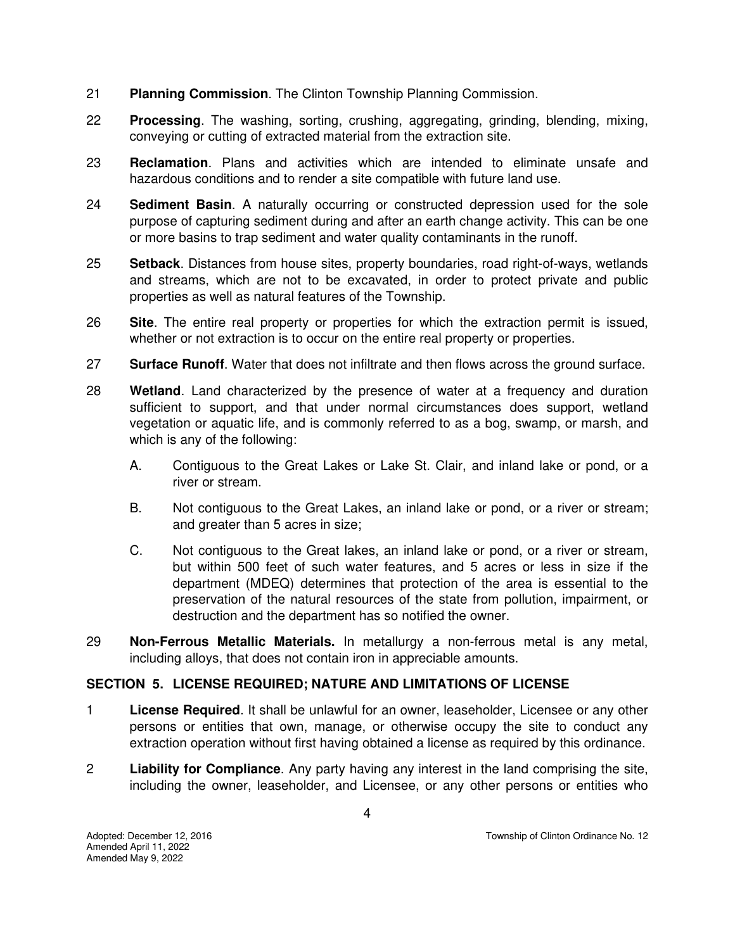- 21 **Planning Commission**. The Clinton Township Planning Commission.
- 22 **Processing**. The washing, sorting, crushing, aggregating, grinding, blending, mixing, conveying or cutting of extracted material from the extraction site.
- 23 **Reclamation**. Plans and activities which are intended to eliminate unsafe and hazardous conditions and to render a site compatible with future land use.
- 24 **Sediment Basin**. A naturally occurring or constructed depression used for the sole purpose of capturing sediment during and after an earth change activity. This can be one or more basins to trap sediment and water quality contaminants in the runoff.
- 25 **Setback**. Distances from house sites, property boundaries, road right-of-ways, wetlands and streams, which are not to be excavated, in order to protect private and public properties as well as natural features of the Township.
- 26 **Site**. The entire real property or properties for which the extraction permit is issued, whether or not extraction is to occur on the entire real property or properties.
- 27 **Surface Runoff**. Water that does not infiltrate and then flows across the ground surface.
- 28 **Wetland**. Land characterized by the presence of water at a frequency and duration sufficient to support, and that under normal circumstances does support, wetland vegetation or aquatic life, and is commonly referred to as a bog, swamp, or marsh, and which is any of the following:
	- A. Contiguous to the Great Lakes or Lake St. Clair, and inland lake or pond, or a river or stream.
	- B. Not contiguous to the Great Lakes, an inland lake or pond, or a river or stream; and greater than 5 acres in size;
	- C. Not contiguous to the Great lakes, an inland lake or pond, or a river or stream, but within 500 feet of such water features, and 5 acres or less in size if the department (MDEQ) determines that protection of the area is essential to the preservation of the natural resources of the state from pollution, impairment, or destruction and the department has so notified the owner.
- 29 **Non-Ferrous Metallic Materials.** In metallurgy a non-ferrous metal is any metal, including alloys, that does not contain iron in appreciable amounts.

# **SECTION 5. LICENSE REQUIRED; NATURE AND LIMITATIONS OF LICENSE**

- 1 **License Required**. It shall be unlawful for an owner, leaseholder, Licensee or any other persons or entities that own, manage, or otherwise occupy the site to conduct any extraction operation without first having obtained a license as required by this ordinance.
- 2 **Liability for Compliance**. Any party having any interest in the land comprising the site, including the owner, leaseholder, and Licensee, or any other persons or entities who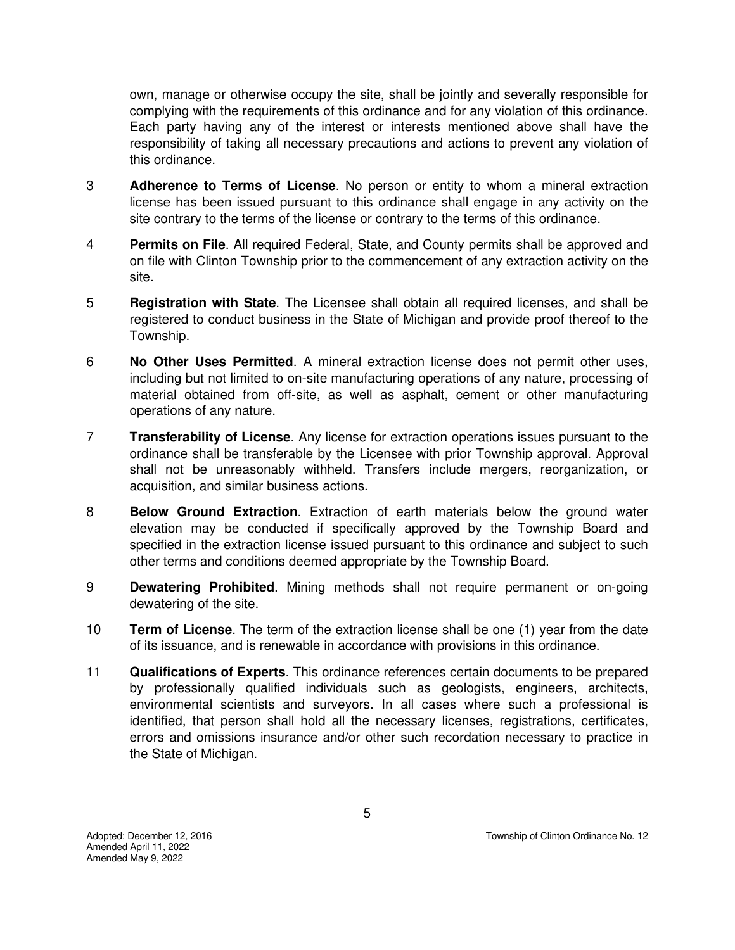own, manage or otherwise occupy the site, shall be jointly and severally responsible for complying with the requirements of this ordinance and for any violation of this ordinance. Each party having any of the interest or interests mentioned above shall have the responsibility of taking all necessary precautions and actions to prevent any violation of this ordinance.

- 3 **Adherence to Terms of License**. No person or entity to whom a mineral extraction license has been issued pursuant to this ordinance shall engage in any activity on the site contrary to the terms of the license or contrary to the terms of this ordinance.
- 4 **Permits on File**. All required Federal, State, and County permits shall be approved and on file with Clinton Township prior to the commencement of any extraction activity on the site.
- 5 **Registration with State**. The Licensee shall obtain all required licenses, and shall be registered to conduct business in the State of Michigan and provide proof thereof to the Township.
- 6 **No Other Uses Permitted**. A mineral extraction license does not permit other uses, including but not limited to on-site manufacturing operations of any nature, processing of material obtained from off-site, as well as asphalt, cement or other manufacturing operations of any nature.
- 7 **Transferability of License**. Any license for extraction operations issues pursuant to the ordinance shall be transferable by the Licensee with prior Township approval. Approval shall not be unreasonably withheld. Transfers include mergers, reorganization, or acquisition, and similar business actions.
- 8 **Below Ground Extraction**. Extraction of earth materials below the ground water elevation may be conducted if specifically approved by the Township Board and specified in the extraction license issued pursuant to this ordinance and subject to such other terms and conditions deemed appropriate by the Township Board.
- 9 **Dewatering Prohibited**. Mining methods shall not require permanent or on-going dewatering of the site.
- 10 **Term of License**. The term of the extraction license shall be one (1) year from the date of its issuance, and is renewable in accordance with provisions in this ordinance.
- 11 **Qualifications of Experts**. This ordinance references certain documents to be prepared by professionally qualified individuals such as geologists, engineers, architects, environmental scientists and surveyors. In all cases where such a professional is identified, that person shall hold all the necessary licenses, registrations, certificates, errors and omissions insurance and/or other such recordation necessary to practice in the State of Michigan.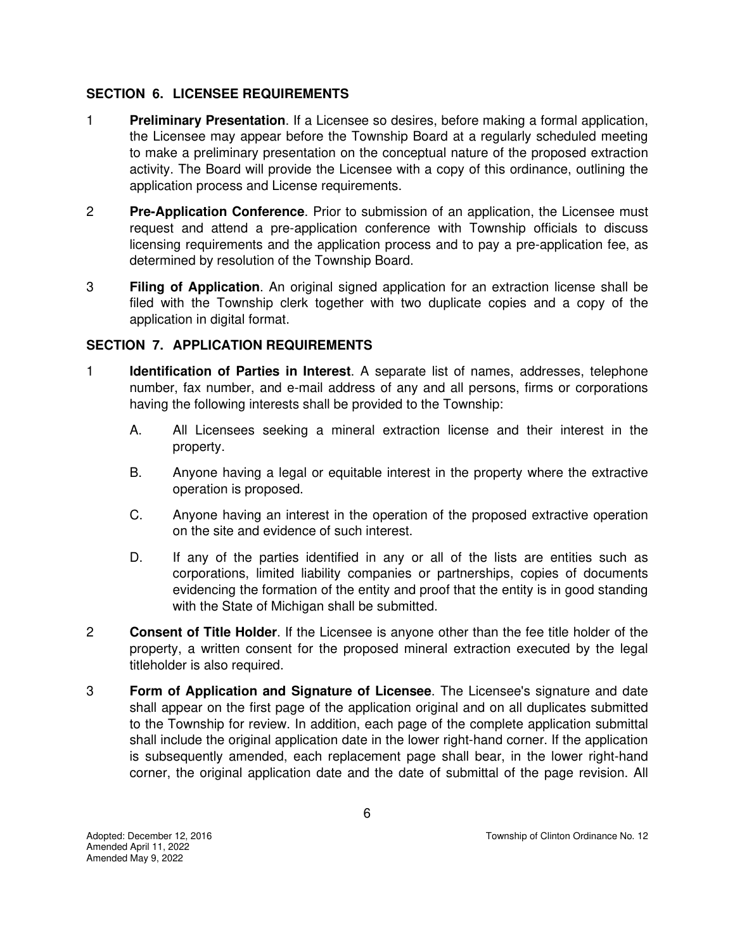## **SECTION 6. LICENSEE REQUIREMENTS**

- 1 **Preliminary Presentation**. If a Licensee so desires, before making a formal application, the Licensee may appear before the Township Board at a regularly scheduled meeting to make a preliminary presentation on the conceptual nature of the proposed extraction activity. The Board will provide the Licensee with a copy of this ordinance, outlining the application process and License requirements.
- 2 **Pre-Application Conference**. Prior to submission of an application, the Licensee must request and attend a pre-application conference with Township officials to discuss licensing requirements and the application process and to pay a pre-application fee, as determined by resolution of the Township Board.
- 3 **Filing of Application**. An original signed application for an extraction license shall be filed with the Township clerk together with two duplicate copies and a copy of the application in digital format.

# **SECTION 7. APPLICATION REQUIREMENTS**

- 1 **Identification of Parties in Interest**. A separate list of names, addresses, telephone number, fax number, and e-mail address of any and all persons, firms or corporations having the following interests shall be provided to the Township:
	- A. All Licensees seeking a mineral extraction license and their interest in the property.
	- B. Anyone having a legal or equitable interest in the property where the extractive operation is proposed.
	- C. Anyone having an interest in the operation of the proposed extractive operation on the site and evidence of such interest.
	- D. If any of the parties identified in any or all of the lists are entities such as corporations, limited liability companies or partnerships, copies of documents evidencing the formation of the entity and proof that the entity is in good standing with the State of Michigan shall be submitted.
- 2 **Consent of Title Holder**. If the Licensee is anyone other than the fee title holder of the property, a written consent for the proposed mineral extraction executed by the legal titleholder is also required.
- 3 **Form of Application and Signature of Licensee**. The Licensee's signature and date shall appear on the first page of the application original and on all duplicates submitted to the Township for review. In addition, each page of the complete application submittal shall include the original application date in the lower right-hand corner. If the application is subsequently amended, each replacement page shall bear, in the lower right-hand corner, the original application date and the date of submittal of the page revision. All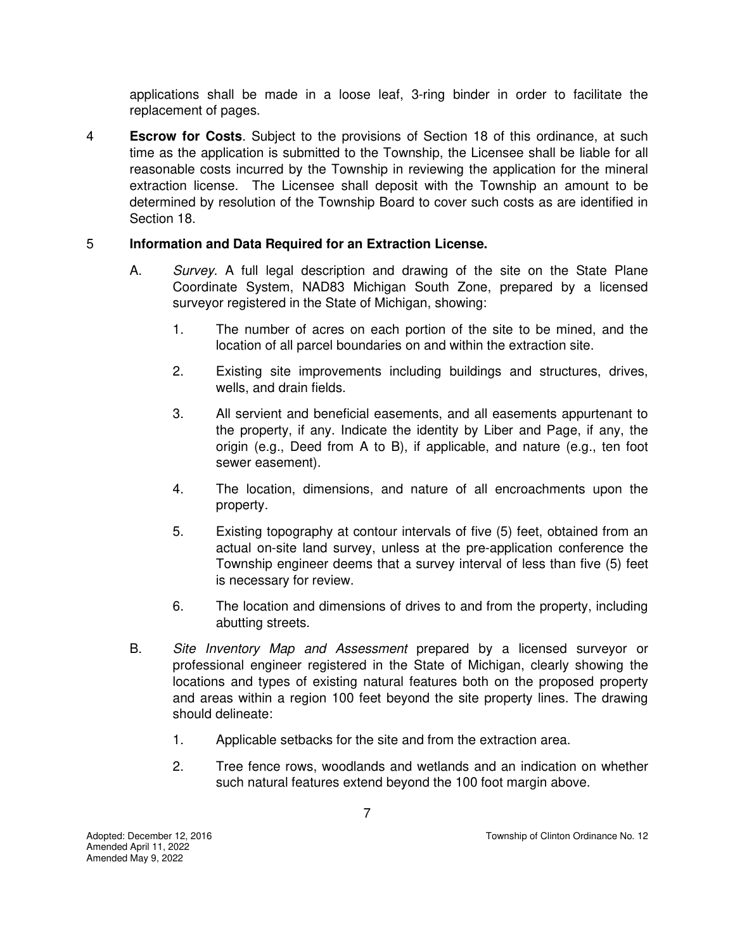applications shall be made in a loose leaf, 3-ring binder in order to facilitate the replacement of pages.

4 **Escrow for Costs**. Subject to the provisions of Section 18 of this ordinance, at such time as the application is submitted to the Township, the Licensee shall be liable for all reasonable costs incurred by the Township in reviewing the application for the mineral extraction license. The Licensee shall deposit with the Township an amount to be determined by resolution of the Township Board to cover such costs as are identified in Section 18.

# 5 **Information and Data Required for an Extraction License.**

- A. *Survey*. A full legal description and drawing of the site on the State Plane Coordinate System, NAD83 Michigan South Zone, prepared by a licensed surveyor registered in the State of Michigan, showing:
	- 1. The number of acres on each portion of the site to be mined, and the location of all parcel boundaries on and within the extraction site.
	- 2. Existing site improvements including buildings and structures, drives, wells, and drain fields.
	- 3. All servient and beneficial easements, and all easements appurtenant to the property, if any. Indicate the identity by Liber and Page, if any, the origin (e.g., Deed from A to B), if applicable, and nature (e.g., ten foot sewer easement).
	- 4. The location, dimensions, and nature of all encroachments upon the property.
	- 5. Existing topography at contour intervals of five (5) feet, obtained from an actual on-site land survey, unless at the pre-application conference the Township engineer deems that a survey interval of less than five (5) feet is necessary for review.
	- 6. The location and dimensions of drives to and from the property, including abutting streets.
- B. *Site Inventory Map and Assessment* prepared by a licensed surveyor or professional engineer registered in the State of Michigan, clearly showing the locations and types of existing natural features both on the proposed property and areas within a region 100 feet beyond the site property lines. The drawing should delineate:
	- 1. Applicable setbacks for the site and from the extraction area.
	- 2. Tree fence rows, woodlands and wetlands and an indication on whether such natural features extend beyond the 100 foot margin above.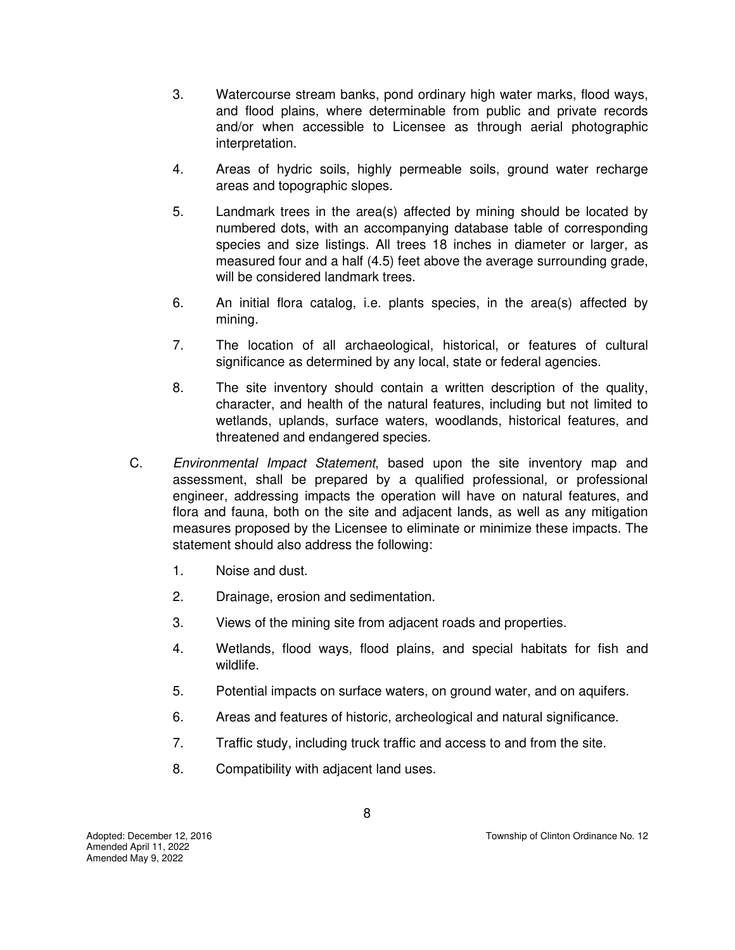- 3. Watercourse stream banks, pond ordinary high water marks, flood ways, and flood plains, where determinable from public and private records and/or when accessible to Licensee as through aerial photographic interpretation.
- 4. Areas of hydric soils, highly permeable soils, ground water recharge areas and topographic slopes.
- 5. Landmark trees in the area(s) affected by mining should be located by numbered dots, with an accompanying database table of corresponding species and size listings. All trees 18 inches in diameter or larger, as measured four and a half (4.5) feet above the average surrounding grade, will be considered landmark trees.
- 6. An initial flora catalog, i.e. plants species, in the area(s) affected by mining.
- 7. The location of all archaeological, historical, or features of cultural significance as determined by any local, state or federal agencies.
- 8. The site inventory should contain a written description of the quality, character, and health of the natural features, including but not limited to wetlands, uplands, surface waters, woodlands, historical features, and threatened and endangered species.
- C. *Environmental Impact Statement*, based upon the site inventory map and assessment, shall be prepared by a qualified professional, or professional engineer, addressing impacts the operation will have on natural features, and flora and fauna, both on the site and adjacent lands, as well as any mitigation measures proposed by the Licensee to eliminate or minimize these impacts. The statement should also address the following:
	- 1. Noise and dust.
	- 2. Drainage, erosion and sedimentation.
	- 3. Views of the mining site from adjacent roads and properties.
	- 4. Wetlands, flood ways, flood plains, and special habitats for fish and wildlife.
	- 5. Potential impacts on surface waters, on ground water, and on aquifers.
	- 6. Areas and features of historic, archeological and natural significance.
	- 7. Traffic study, including truck traffic and access to and from the site.
	- 8. Compatibility with adjacent land uses.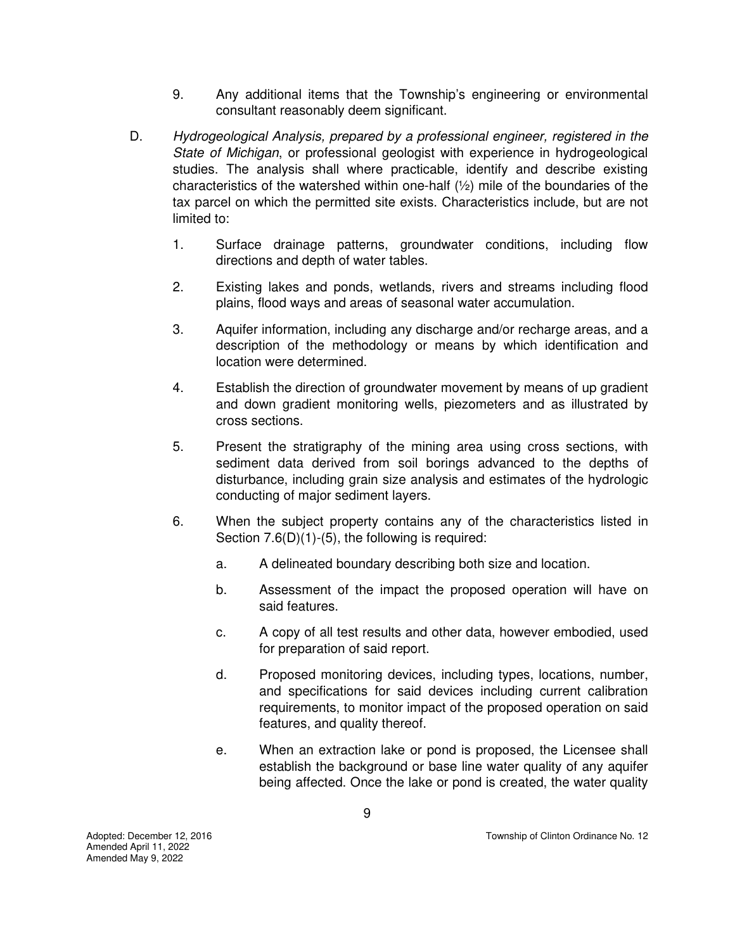- 9. Any additional items that the Township's engineering or environmental consultant reasonably deem significant.
- D. *Hydrogeological Analysis, prepared by a professional engineer, registered in the State of Michigan*, or professional geologist with experience in hydrogeological studies. The analysis shall where practicable, identify and describe existing characteristics of the watershed within one-half  $(\frac{1}{2})$  mile of the boundaries of the tax parcel on which the permitted site exists. Characteristics include, but are not limited to:
	- 1. Surface drainage patterns, groundwater conditions, including flow directions and depth of water tables.
	- 2. Existing lakes and ponds, wetlands, rivers and streams including flood plains, flood ways and areas of seasonal water accumulation.
	- 3. Aquifer information, including any discharge and/or recharge areas, and a description of the methodology or means by which identification and location were determined.
	- 4. Establish the direction of groundwater movement by means of up gradient and down gradient monitoring wells, piezometers and as illustrated by cross sections.
	- 5. Present the stratigraphy of the mining area using cross sections, with sediment data derived from soil borings advanced to the depths of disturbance, including grain size analysis and estimates of the hydrologic conducting of major sediment layers.
	- 6. When the subject property contains any of the characteristics listed in Section 7.6(D)(1)-(5), the following is required:
		- a. A delineated boundary describing both size and location.
		- b. Assessment of the impact the proposed operation will have on said features.
		- c. A copy of all test results and other data, however embodied, used for preparation of said report.
		- d. Proposed monitoring devices, including types, locations, number, and specifications for said devices including current calibration requirements, to monitor impact of the proposed operation on said features, and quality thereof.
		- e. When an extraction lake or pond is proposed, the Licensee shall establish the background or base line water quality of any aquifer being affected. Once the lake or pond is created, the water quality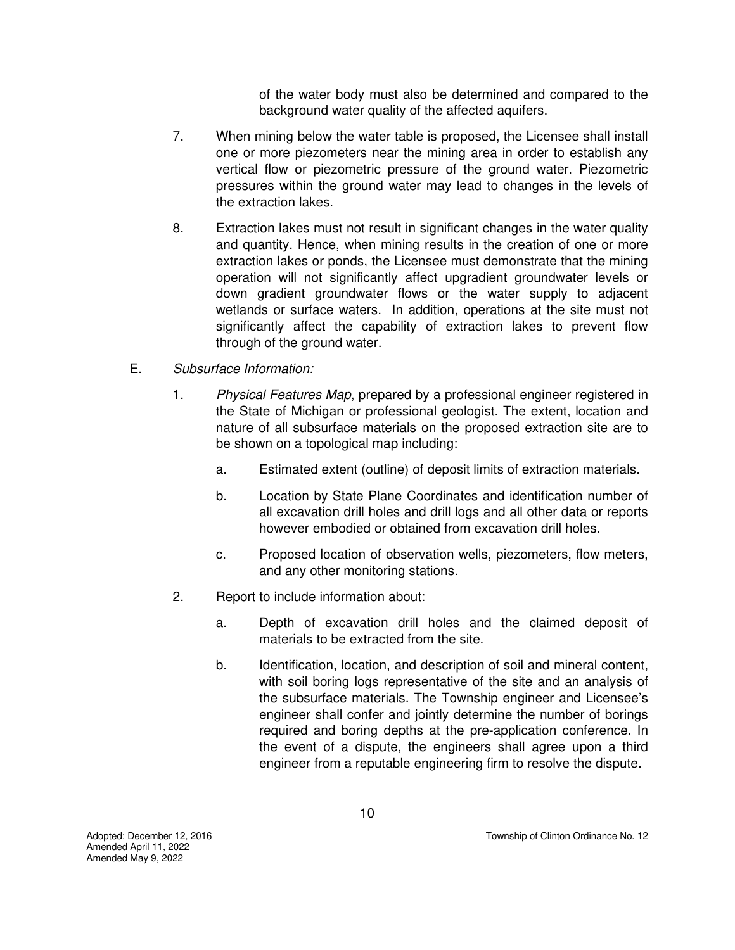of the water body must also be determined and compared to the background water quality of the affected aquifers.

- 7. When mining below the water table is proposed, the Licensee shall install one or more piezometers near the mining area in order to establish any vertical flow or piezometric pressure of the ground water. Piezometric pressures within the ground water may lead to changes in the levels of the extraction lakes.
- 8. Extraction lakes must not result in significant changes in the water quality and quantity. Hence, when mining results in the creation of one or more extraction lakes or ponds, the Licensee must demonstrate that the mining operation will not significantly affect upgradient groundwater levels or down gradient groundwater flows or the water supply to adjacent wetlands or surface waters. In addition, operations at the site must not significantly affect the capability of extraction lakes to prevent flow through of the ground water.
- E. *Subsurface Information:*
	- 1. *Physical Features Map*, prepared by a professional engineer registered in the State of Michigan or professional geologist. The extent, location and nature of all subsurface materials on the proposed extraction site are to be shown on a topological map including:
		- a. Estimated extent (outline) of deposit limits of extraction materials.
		- b. Location by State Plane Coordinates and identification number of all excavation drill holes and drill logs and all other data or reports however embodied or obtained from excavation drill holes.
		- c. Proposed location of observation wells, piezometers, flow meters, and any other monitoring stations.
	- 2. Report to include information about:
		- a. Depth of excavation drill holes and the claimed deposit of materials to be extracted from the site.
		- b. Identification, location, and description of soil and mineral content, with soil boring logs representative of the site and an analysis of the subsurface materials. The Township engineer and Licensee's engineer shall confer and jointly determine the number of borings required and boring depths at the pre-application conference. In the event of a dispute, the engineers shall agree upon a third engineer from a reputable engineering firm to resolve the dispute.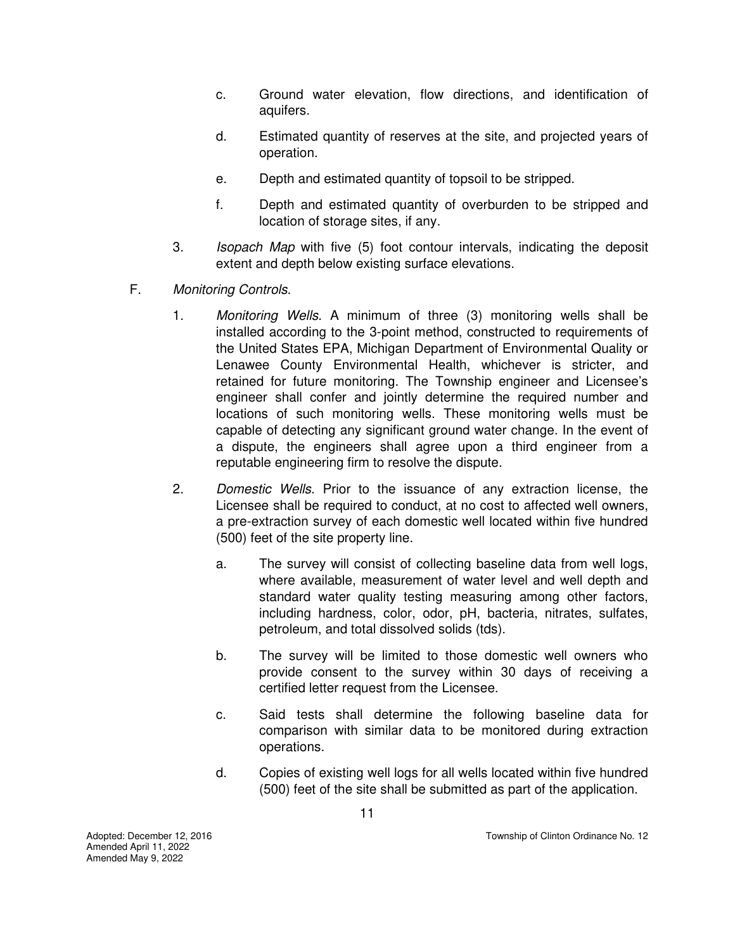- c. Ground water elevation, flow directions, and identification of aquifers.
- d. Estimated quantity of reserves at the site, and projected years of operation.
- e. Depth and estimated quantity of topsoil to be stripped.
- f. Depth and estimated quantity of overburden to be stripped and location of storage sites, if any.
- 3. *Isopach Map* with five (5) foot contour intervals, indicating the deposit extent and depth below existing surface elevations.
- F. *Monitoring Controls.* 
	- 1. *Monitoring Wells*. A minimum of three (3) monitoring wells shall be installed according to the 3-point method, constructed to requirements of the United States EPA, Michigan Department of Environmental Quality or Lenawee County Environmental Health, whichever is stricter, and retained for future monitoring. The Township engineer and Licensee's engineer shall confer and jointly determine the required number and locations of such monitoring wells. These monitoring wells must be capable of detecting any significant ground water change. In the event of a dispute, the engineers shall agree upon a third engineer from a reputable engineering firm to resolve the dispute.
	- 2. *Domestic Wells*. Prior to the issuance of any extraction license, the Licensee shall be required to conduct, at no cost to affected well owners, a pre-extraction survey of each domestic well located within five hundred (500) feet of the site property line.
		- a. The survey will consist of collecting baseline data from well logs, where available, measurement of water level and well depth and standard water quality testing measuring among other factors, including hardness, color, odor, pH, bacteria, nitrates, sulfates, petroleum, and total dissolved solids (tds).
		- b. The survey will be limited to those domestic well owners who provide consent to the survey within 30 days of receiving a certified letter request from the Licensee.
		- c. Said tests shall determine the following baseline data for comparison with similar data to be monitored during extraction operations.
		- d. Copies of existing well logs for all wells located within five hundred (500) feet of the site shall be submitted as part of the application.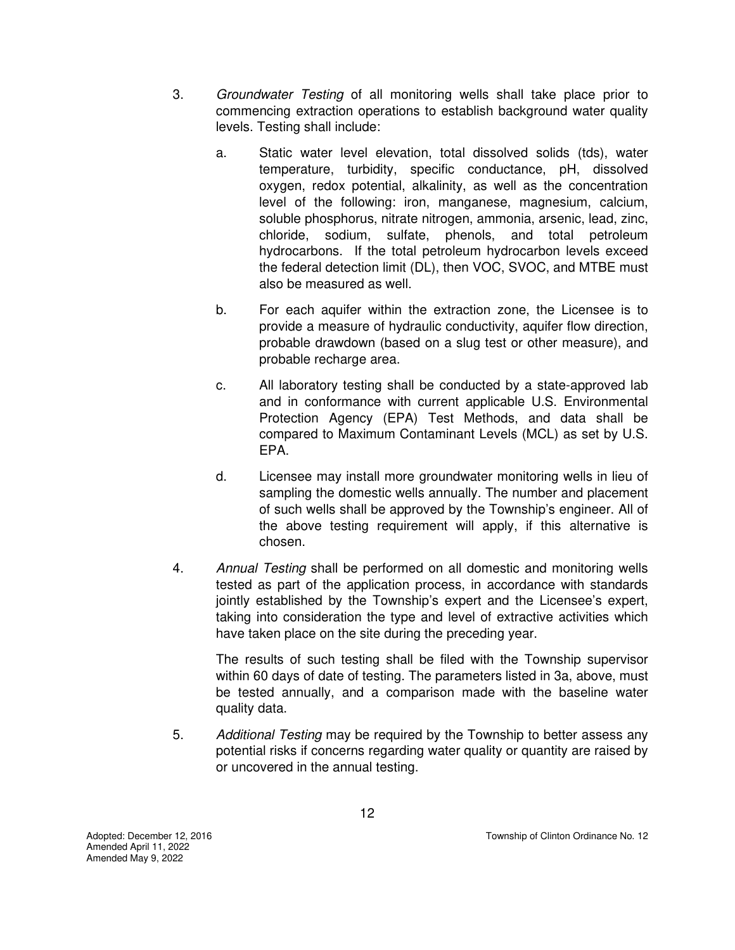- 3. *Groundwater Testing* of all monitoring wells shall take place prior to commencing extraction operations to establish background water quality levels. Testing shall include:
	- a. Static water level elevation, total dissolved solids (tds), water temperature, turbidity, specific conductance, pH, dissolved oxygen, redox potential, alkalinity, as well as the concentration level of the following: iron, manganese, magnesium, calcium, soluble phosphorus, nitrate nitrogen, ammonia, arsenic, lead, zinc, chloride, sodium, sulfate, phenols, and total petroleum hydrocarbons. If the total petroleum hydrocarbon levels exceed the federal detection limit (DL), then VOC, SVOC, and MTBE must also be measured as well.
	- b. For each aquifer within the extraction zone, the Licensee is to provide a measure of hydraulic conductivity, aquifer flow direction, probable drawdown (based on a slug test or other measure), and probable recharge area.
	- c. All laboratory testing shall be conducted by a state-approved lab and in conformance with current applicable U.S. Environmental Protection Agency (EPA) Test Methods, and data shall be compared to Maximum Contaminant Levels (MCL) as set by U.S. EPA.
	- d. Licensee may install more groundwater monitoring wells in lieu of sampling the domestic wells annually. The number and placement of such wells shall be approved by the Township's engineer. All of the above testing requirement will apply, if this alternative is chosen.
- 4. *Annual Testing* shall be performed on all domestic and monitoring wells tested as part of the application process, in accordance with standards jointly established by the Township's expert and the Licensee's expert, taking into consideration the type and level of extractive activities which have taken place on the site during the preceding year.

The results of such testing shall be filed with the Township supervisor within 60 days of date of testing. The parameters listed in 3a, above, must be tested annually, and a comparison made with the baseline water quality data.

5. *Additional Testing* may be required by the Township to better assess any potential risks if concerns regarding water quality or quantity are raised by or uncovered in the annual testing.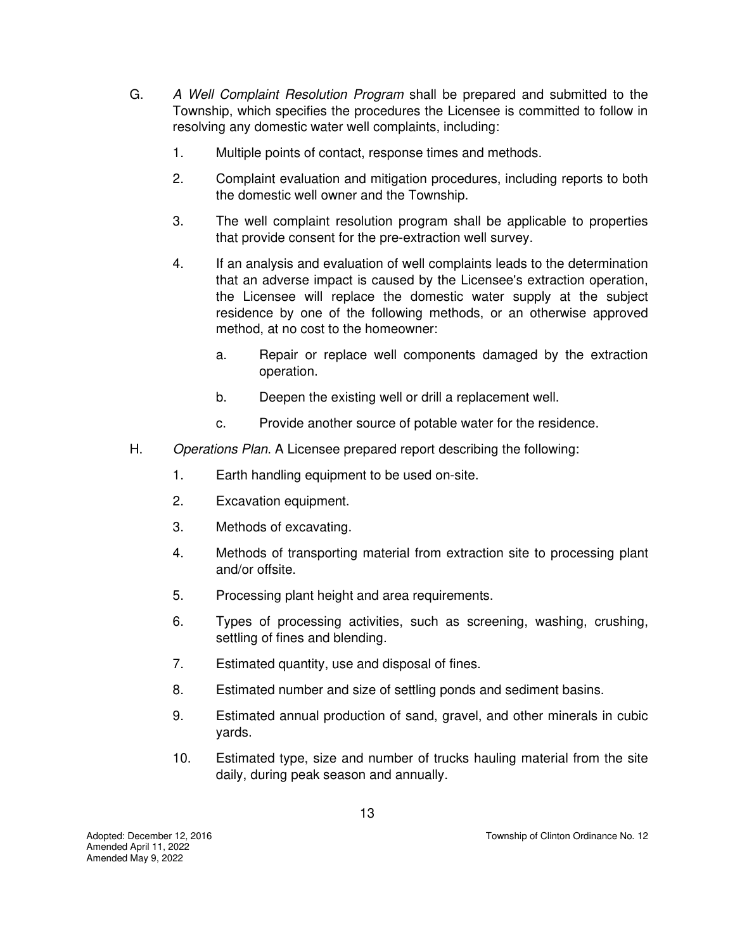- G. *A Well Complaint Resolution Program* shall be prepared and submitted to the Township, which specifies the procedures the Licensee is committed to follow in resolving any domestic water well complaints, including:
	- 1. Multiple points of contact, response times and methods.
	- 2. Complaint evaluation and mitigation procedures, including reports to both the domestic well owner and the Township.
	- 3. The well complaint resolution program shall be applicable to properties that provide consent for the pre-extraction well survey.
	- 4. If an analysis and evaluation of well complaints leads to the determination that an adverse impact is caused by the Licensee's extraction operation, the Licensee will replace the domestic water supply at the subject residence by one of the following methods, or an otherwise approved method, at no cost to the homeowner:
		- a. Repair or replace well components damaged by the extraction operation.
		- b. Deepen the existing well or drill a replacement well.
		- c. Provide another source of potable water for the residence.
- H. *Operations Plan*. A Licensee prepared report describing the following:
	- 1. Earth handling equipment to be used on-site.
	- 2. Excavation equipment.
	- 3. Methods of excavating.
	- 4. Methods of transporting material from extraction site to processing plant and/or offsite.
	- 5. Processing plant height and area requirements.
	- 6. Types of processing activities, such as screening, washing, crushing, settling of fines and blending.
	- 7. Estimated quantity, use and disposal of fines.
	- 8. Estimated number and size of settling ponds and sediment basins.
	- 9. Estimated annual production of sand, gravel, and other minerals in cubic yards.
	- 10. Estimated type, size and number of trucks hauling material from the site daily, during peak season and annually.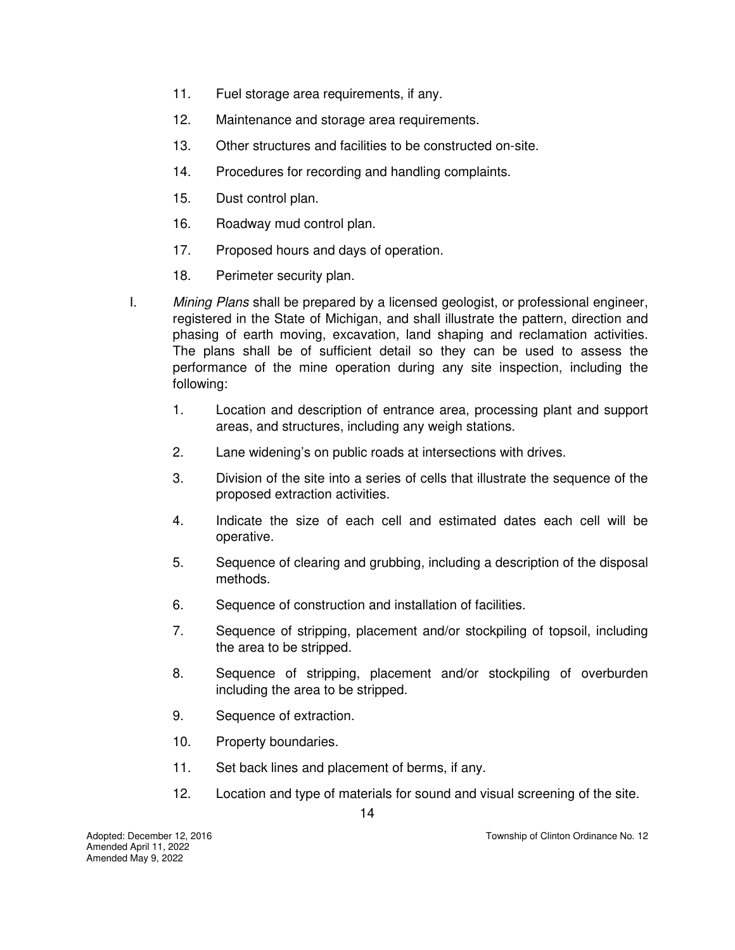- 11. Fuel storage area requirements, if any.
- 12. Maintenance and storage area requirements.
- 13. Other structures and facilities to be constructed on-site.
- 14. Procedures for recording and handling complaints.
- 15. Dust control plan.
- 16. Roadway mud control plan.
- 17. Proposed hours and days of operation.
- 18. Perimeter security plan.
- I. *Mining Plans* shall be prepared by a licensed geologist, or professional engineer, registered in the State of Michigan, and shall illustrate the pattern, direction and phasing of earth moving, excavation, land shaping and reclamation activities. The plans shall be of sufficient detail so they can be used to assess the performance of the mine operation during any site inspection, including the following:
	- 1. Location and description of entrance area, processing plant and support areas, and structures, including any weigh stations.
	- 2. Lane widening's on public roads at intersections with drives.
	- 3. Division of the site into a series of cells that illustrate the sequence of the proposed extraction activities.
	- 4. Indicate the size of each cell and estimated dates each cell will be operative.
	- 5. Sequence of clearing and grubbing, including a description of the disposal methods.
	- 6. Sequence of construction and installation of facilities.
	- 7. Sequence of stripping, placement and/or stockpiling of topsoil, including the area to be stripped.
	- 8. Sequence of stripping, placement and/or stockpiling of overburden including the area to be stripped.
	- 9. Sequence of extraction.
	- 10. Property boundaries.
	- 11. Set back lines and placement of berms, if any.
	- 12. Location and type of materials for sound and visual screening of the site.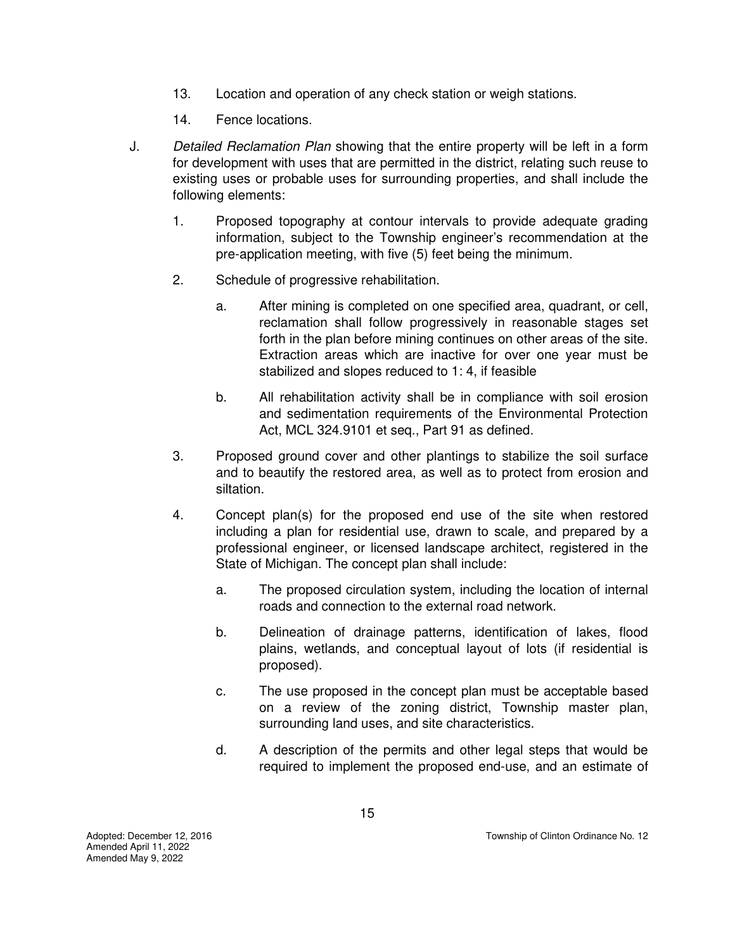- 13. Location and operation of any check station or weigh stations.
- 14. Fence locations.
- J. *Detailed Reclamation Plan* showing that the entire property will be left in a form for development with uses that are permitted in the district, relating such reuse to existing uses or probable uses for surrounding properties, and shall include the following elements:
	- 1. Proposed topography at contour intervals to provide adequate grading information, subject to the Township engineer's recommendation at the pre-application meeting, with five (5) feet being the minimum.
	- 2. Schedule of progressive rehabilitation.
		- a. After mining is completed on one specified area, quadrant, or cell, reclamation shall follow progressively in reasonable stages set forth in the plan before mining continues on other areas of the site. Extraction areas which are inactive for over one year must be stabilized and slopes reduced to 1: 4, if feasible
		- b. All rehabilitation activity shall be in compliance with soil erosion and sedimentation requirements of the Environmental Protection Act, MCL 324.9101 et seq., Part 91 as defined.
	- 3. Proposed ground cover and other plantings to stabilize the soil surface and to beautify the restored area, as well as to protect from erosion and siltation.
	- 4. Concept plan(s) for the proposed end use of the site when restored including a plan for residential use, drawn to scale, and prepared by a professional engineer, or licensed landscape architect, registered in the State of Michigan. The concept plan shall include:
		- a. The proposed circulation system, including the location of internal roads and connection to the external road network.
		- b. Delineation of drainage patterns, identification of lakes, flood plains, wetlands, and conceptual layout of lots (if residential is proposed).
		- c. The use proposed in the concept plan must be acceptable based on a review of the zoning district, Township master plan, surrounding land uses, and site characteristics.
		- d. A description of the permits and other legal steps that would be required to implement the proposed end-use, and an estimate of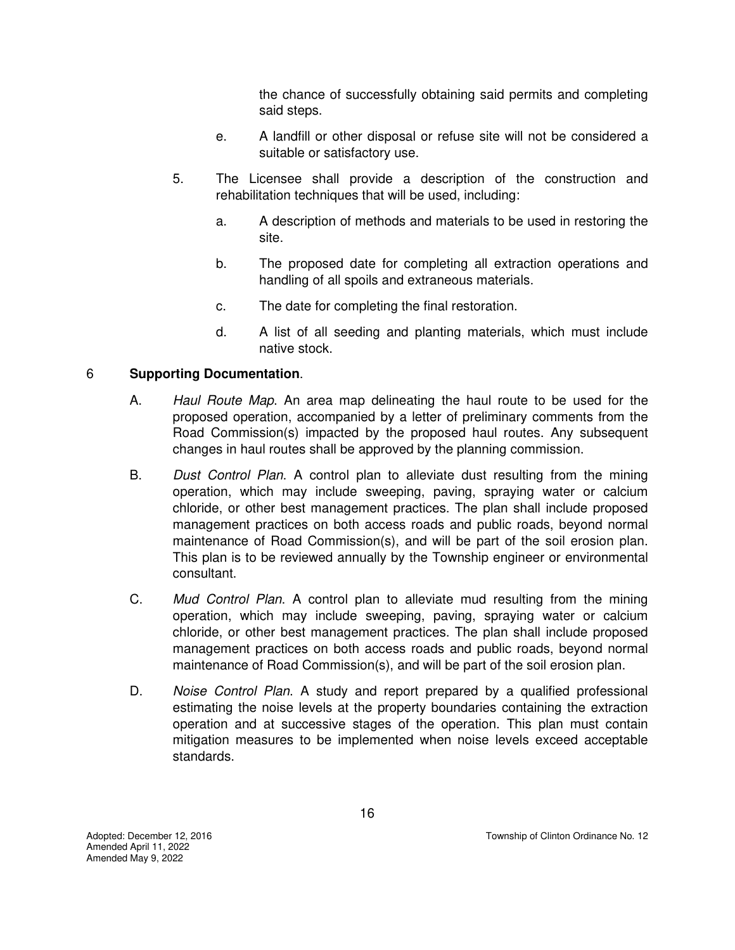the chance of successfully obtaining said permits and completing said steps.

- e. A landfill or other disposal or refuse site will not be considered a suitable or satisfactory use.
- 5. The Licensee shall provide a description of the construction and rehabilitation techniques that will be used, including:
	- a. A description of methods and materials to be used in restoring the site.
	- b. The proposed date for completing all extraction operations and handling of all spoils and extraneous materials.
	- c. The date for completing the final restoration.
	- d. A list of all seeding and planting materials, which must include native stock.

#### 6 **Supporting Documentation**.

- A. *Haul Route Map*. An area map delineating the haul route to be used for the proposed operation, accompanied by a letter of preliminary comments from the Road Commission(s) impacted by the proposed haul routes. Any subsequent changes in haul routes shall be approved by the planning commission.
- B. *Dust Control Plan*. A control plan to alleviate dust resulting from the mining operation, which may include sweeping, paving, spraying water or calcium chloride, or other best management practices. The plan shall include proposed management practices on both access roads and public roads, beyond normal maintenance of Road Commission(s), and will be part of the soil erosion plan. This plan is to be reviewed annually by the Township engineer or environmental consultant.
- C. *Mud Control Plan*. A control plan to alleviate mud resulting from the mining operation, which may include sweeping, paving, spraying water or calcium chloride, or other best management practices. The plan shall include proposed management practices on both access roads and public roads, beyond normal maintenance of Road Commission(s), and will be part of the soil erosion plan.
- D. *Noise Control Plan*. A study and report prepared by a qualified professional estimating the noise levels at the property boundaries containing the extraction operation and at successive stages of the operation. This plan must contain mitigation measures to be implemented when noise levels exceed acceptable standards.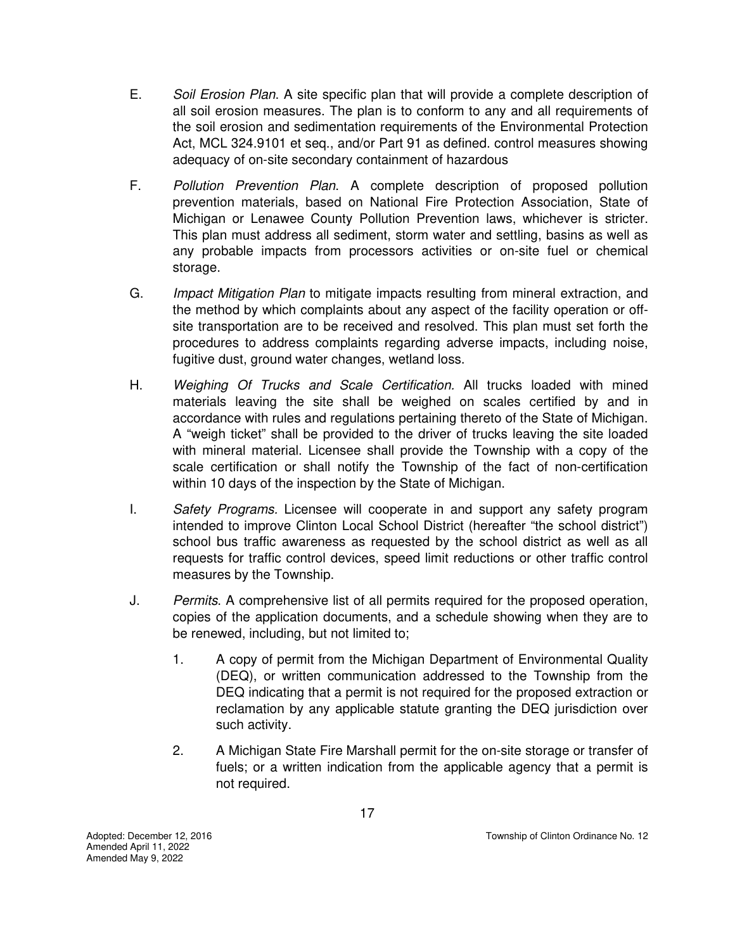- E. *Soil Erosion Plan*. A site specific plan that will provide a complete description of all soil erosion measures. The plan is to conform to any and all requirements of the soil erosion and sedimentation requirements of the Environmental Protection Act, MCL 324.9101 et seq., and/or Part 91 as defined. control measures showing adequacy of on-site secondary containment of hazardous
- F. *Pollution Prevention Plan*. A complete description of proposed pollution prevention materials, based on National Fire Protection Association, State of Michigan or Lenawee County Pollution Prevention laws, whichever is stricter. This plan must address all sediment, storm water and settling, basins as well as any probable impacts from processors activities or on-site fuel or chemical storage.
- G. *Impact Mitigation Plan* to mitigate impacts resulting from mineral extraction, and the method by which complaints about any aspect of the facility operation or offsite transportation are to be received and resolved. This plan must set forth the procedures to address complaints regarding adverse impacts, including noise, fugitive dust, ground water changes, wetland loss.
- H. *Weighing Of Trucks and Scale Certification.* All trucks loaded with mined materials leaving the site shall be weighed on scales certified by and in accordance with rules and regulations pertaining thereto of the State of Michigan. A "weigh ticket" shall be provided to the driver of trucks leaving the site loaded with mineral material. Licensee shall provide the Township with a copy of the scale certification or shall notify the Township of the fact of non-certification within 10 days of the inspection by the State of Michigan.
- I. *Safety Programs.* Licensee will cooperate in and support any safety program intended to improve Clinton Local School District (hereafter "the school district") school bus traffic awareness as requested by the school district as well as all requests for traffic control devices, speed limit reductions or other traffic control measures by the Township.
- J. *Permits*. A comprehensive list of all permits required for the proposed operation, copies of the application documents, and a schedule showing when they are to be renewed, including, but not limited to;
	- 1. A copy of permit from the Michigan Department of Environmental Quality (DEQ), or written communication addressed to the Township from the DEQ indicating that a permit is not required for the proposed extraction or reclamation by any applicable statute granting the DEQ jurisdiction over such activity.
	- 2. A Michigan State Fire Marshall permit for the on-site storage or transfer of fuels; or a written indication from the applicable agency that a permit is not required.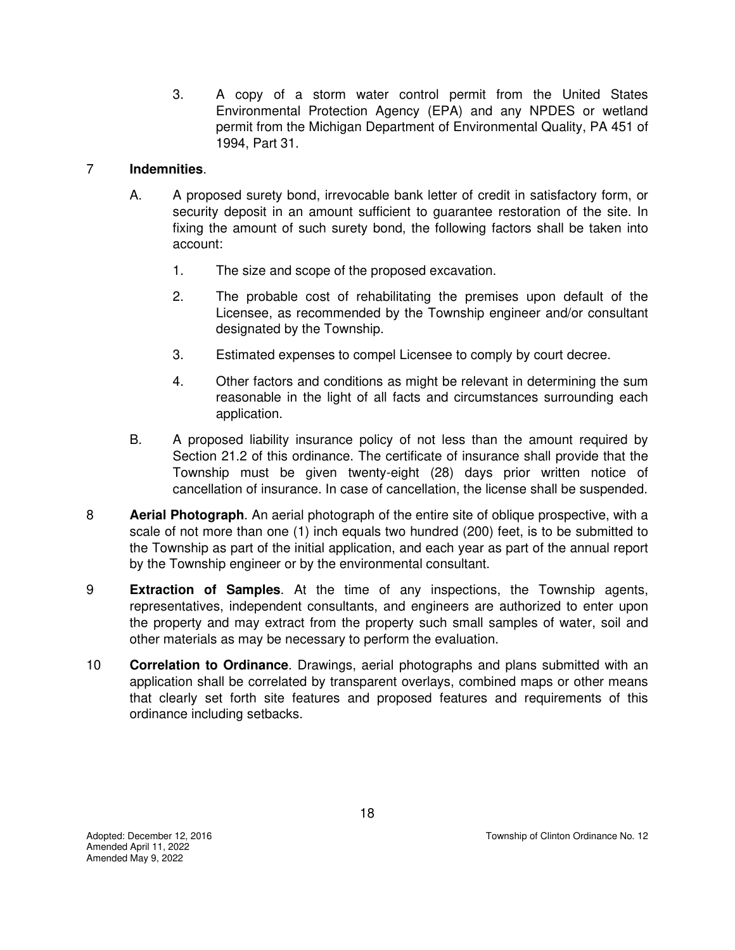3. A copy of a storm water control permit from the United States Environmental Protection Agency (EPA) and any NPDES or wetland permit from the Michigan Department of Environmental Quality, PA 451 of 1994, Part 31.

# 7 **Indemnities**.

- A. A proposed surety bond, irrevocable bank letter of credit in satisfactory form, or security deposit in an amount sufficient to guarantee restoration of the site. In fixing the amount of such surety bond, the following factors shall be taken into account:
	- 1. The size and scope of the proposed excavation.
	- 2. The probable cost of rehabilitating the premises upon default of the Licensee, as recommended by the Township engineer and/or consultant designated by the Township.
	- 3. Estimated expenses to compel Licensee to comply by court decree.
	- 4. Other factors and conditions as might be relevant in determining the sum reasonable in the light of all facts and circumstances surrounding each application.
- B. A proposed liability insurance policy of not less than the amount required by Section 21.2 of this ordinance. The certificate of insurance shall provide that the Township must be given twenty-eight (28) days prior written notice of cancellation of insurance. In case of cancellation, the license shall be suspended.
- 8 **Aerial Photograph**. An aerial photograph of the entire site of oblique prospective, with a scale of not more than one (1) inch equals two hundred (200) feet, is to be submitted to the Township as part of the initial application, and each year as part of the annual report by the Township engineer or by the environmental consultant.
- 9 **Extraction of Samples**. At the time of any inspections, the Township agents, representatives, independent consultants, and engineers are authorized to enter upon the property and may extract from the property such small samples of water, soil and other materials as may be necessary to perform the evaluation.
- 10 **Correlation to Ordinance**. Drawings, aerial photographs and plans submitted with an application shall be correlated by transparent overlays, combined maps or other means that clearly set forth site features and proposed features and requirements of this ordinance including setbacks.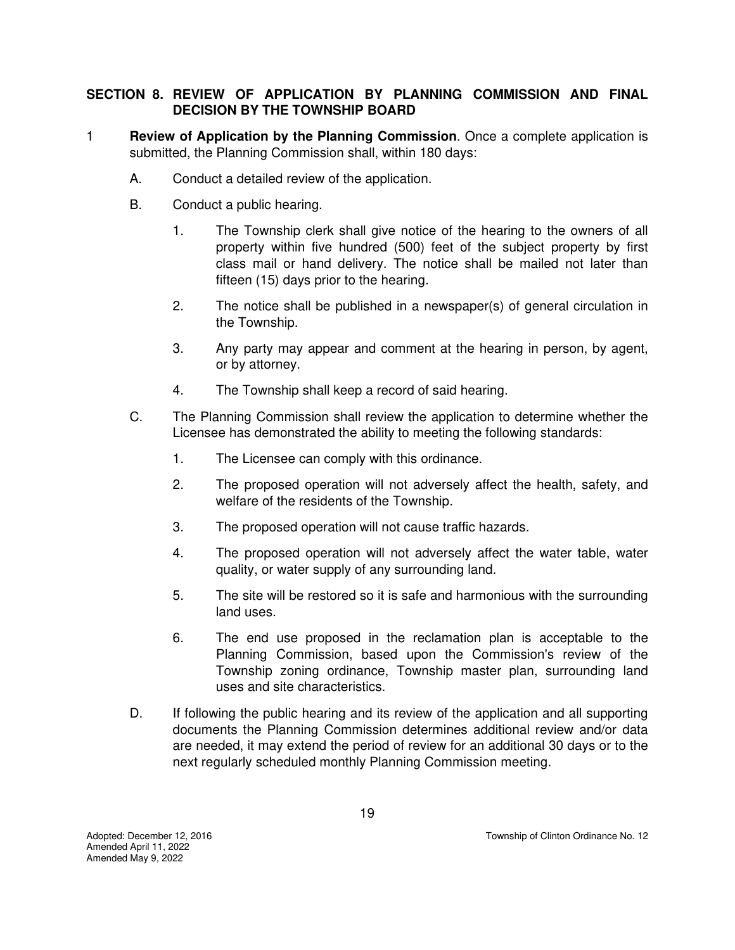## **SECTION 8. REVIEW OF APPLICATION BY PLANNING COMMISSION AND FINAL DECISION BY THE TOWNSHIP BOARD**

- 1 **Review of Application by the Planning Commission**. Once a complete application is submitted, the Planning Commission shall, within 180 days:
	- A. Conduct a detailed review of the application.
	- B. Conduct a public hearing.
		- 1. The Township clerk shall give notice of the hearing to the owners of all property within five hundred (500) feet of the subject property by first class mail or hand delivery. The notice shall be mailed not later than fifteen (15) days prior to the hearing.
		- 2. The notice shall be published in a newspaper(s) of general circulation in the Township.
		- 3. Any party may appear and comment at the hearing in person, by agent, or by attorney.
		- 4. The Township shall keep a record of said hearing.
	- C. The Planning Commission shall review the application to determine whether the Licensee has demonstrated the ability to meeting the following standards:
		- 1. The Licensee can comply with this ordinance.
		- 2. The proposed operation will not adversely affect the health, safety, and welfare of the residents of the Township.
		- 3. The proposed operation will not cause traffic hazards.
		- 4. The proposed operation will not adversely affect the water table, water quality, or water supply of any surrounding land.
		- 5. The site will be restored so it is safe and harmonious with the surrounding land uses.
		- 6. The end use proposed in the reclamation plan is acceptable to the Planning Commission, based upon the Commission's review of the Township zoning ordinance, Township master plan, surrounding land uses and site characteristics.
	- D. If following the public hearing and its review of the application and all supporting documents the Planning Commission determines additional review and/or data are needed, it may extend the period of review for an additional 30 days or to the next regularly scheduled monthly Planning Commission meeting.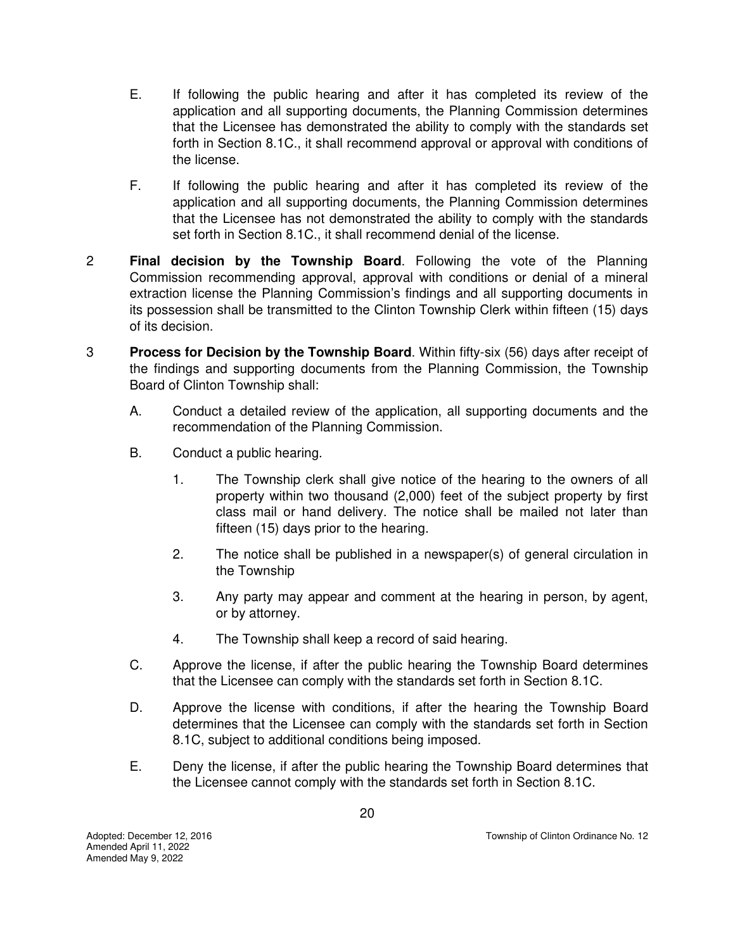- E. If following the public hearing and after it has completed its review of the application and all supporting documents, the Planning Commission determines that the Licensee has demonstrated the ability to comply with the standards set forth in Section 8.1C., it shall recommend approval or approval with conditions of the license.
- F. If following the public hearing and after it has completed its review of the application and all supporting documents, the Planning Commission determines that the Licensee has not demonstrated the ability to comply with the standards set forth in Section 8.1C., it shall recommend denial of the license.
- 2 **Final decision by the Township Board**. Following the vote of the Planning Commission recommending approval, approval with conditions or denial of a mineral extraction license the Planning Commission's findings and all supporting documents in its possession shall be transmitted to the Clinton Township Clerk within fifteen (15) days of its decision.
- 3 **Process for Decision by the Township Board**. Within fifty-six (56) days after receipt of the findings and supporting documents from the Planning Commission, the Township Board of Clinton Township shall:
	- A. Conduct a detailed review of the application, all supporting documents and the recommendation of the Planning Commission.
	- B. Conduct a public hearing.
		- 1. The Township clerk shall give notice of the hearing to the owners of all property within two thousand (2,000) feet of the subject property by first class mail or hand delivery. The notice shall be mailed not later than fifteen (15) days prior to the hearing.
		- 2. The notice shall be published in a newspaper(s) of general circulation in the Township
		- 3. Any party may appear and comment at the hearing in person, by agent, or by attorney.
		- 4. The Township shall keep a record of said hearing.
	- C. Approve the license, if after the public hearing the Township Board determines that the Licensee can comply with the standards set forth in Section 8.1C.
	- D. Approve the license with conditions, if after the hearing the Township Board determines that the Licensee can comply with the standards set forth in Section 8.1C, subject to additional conditions being imposed.
	- E. Deny the license, if after the public hearing the Township Board determines that the Licensee cannot comply with the standards set forth in Section 8.1C.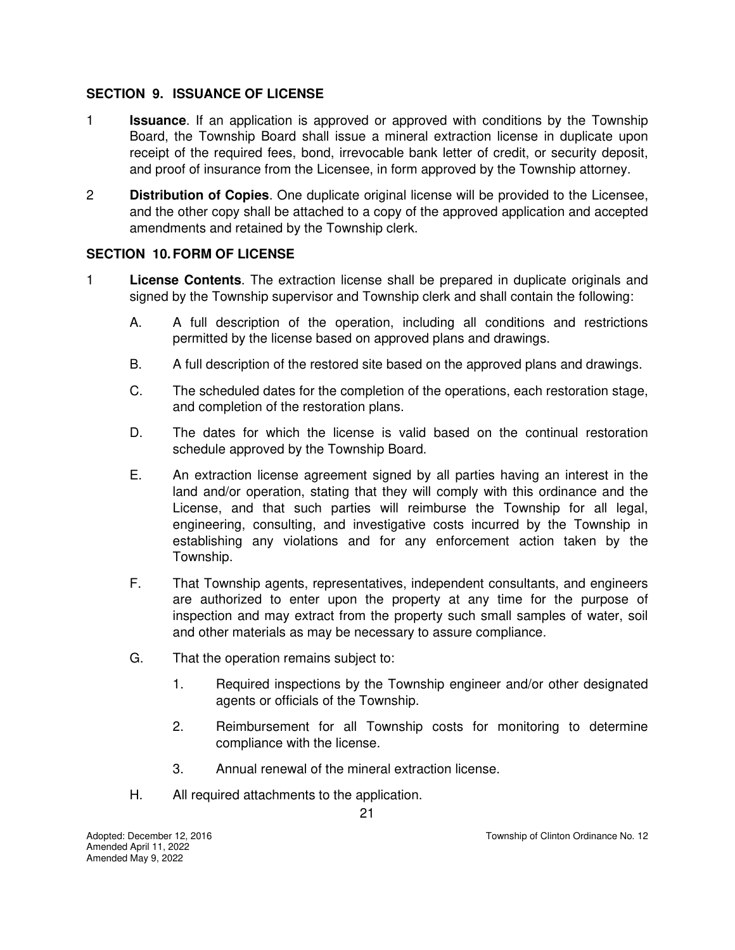## **SECTION 9. ISSUANCE OF LICENSE**

- 1 **Issuance**. If an application is approved or approved with conditions by the Township Board, the Township Board shall issue a mineral extraction license in duplicate upon receipt of the required fees, bond, irrevocable bank letter of credit, or security deposit, and proof of insurance from the Licensee, in form approved by the Township attorney.
- 2 **Distribution of Copies**. One duplicate original license will be provided to the Licensee, and the other copy shall be attached to a copy of the approved application and accepted amendments and retained by the Township clerk.

# **SECTION 10. FORM OF LICENSE**

- 1 **License Contents**. The extraction license shall be prepared in duplicate originals and signed by the Township supervisor and Township clerk and shall contain the following:
	- A. A full description of the operation, including all conditions and restrictions permitted by the license based on approved plans and drawings.
	- B. A full description of the restored site based on the approved plans and drawings.
	- C. The scheduled dates for the completion of the operations, each restoration stage, and completion of the restoration plans.
	- D. The dates for which the license is valid based on the continual restoration schedule approved by the Township Board.
	- E. An extraction license agreement signed by all parties having an interest in the land and/or operation, stating that they will comply with this ordinance and the License, and that such parties will reimburse the Township for all legal, engineering, consulting, and investigative costs incurred by the Township in establishing any violations and for any enforcement action taken by the Township.
	- F. That Township agents, representatives, independent consultants, and engineers are authorized to enter upon the property at any time for the purpose of inspection and may extract from the property such small samples of water, soil and other materials as may be necessary to assure compliance.
	- G. That the operation remains subject to:
		- 1. Required inspections by the Township engineer and/or other designated agents or officials of the Township.
		- 2. Reimbursement for all Township costs for monitoring to determine compliance with the license.
		- 3. Annual renewal of the mineral extraction license.
	- H. All required attachments to the application.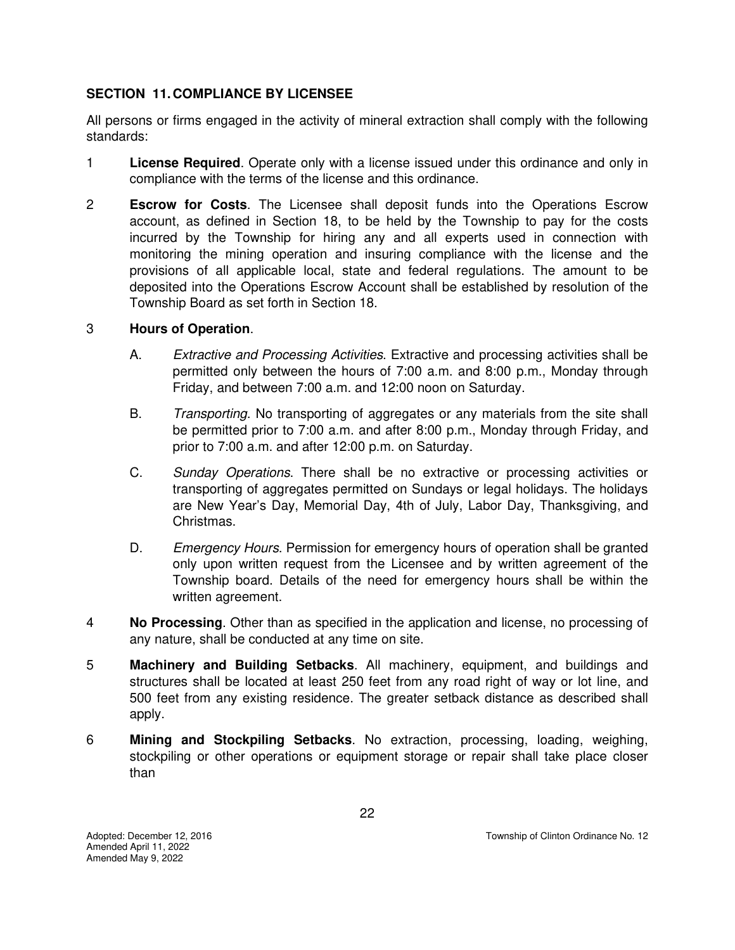## **SECTION 11. COMPLIANCE BY LICENSEE**

All persons or firms engaged in the activity of mineral extraction shall comply with the following standards:

- 1 **License Required**. Operate only with a license issued under this ordinance and only in compliance with the terms of the license and this ordinance.
- 2 **Escrow for Costs**. The Licensee shall deposit funds into the Operations Escrow account, as defined in Section 18, to be held by the Township to pay for the costs incurred by the Township for hiring any and all experts used in connection with monitoring the mining operation and insuring compliance with the license and the provisions of all applicable local, state and federal regulations. The amount to be deposited into the Operations Escrow Account shall be established by resolution of the Township Board as set forth in Section 18.

## 3 **Hours of Operation**.

- A. *Extractive and Processing Activities*. Extractive and processing activities shall be permitted only between the hours of 7:00 a.m. and 8:00 p.m., Monday through Friday, and between 7:00 a.m. and 12:00 noon on Saturday.
- B. *Transporting*. No transporting of aggregates or any materials from the site shall be permitted prior to 7:00 a.m. and after 8:00 p.m., Monday through Friday, and prior to 7:00 a.m. and after 12:00 p.m. on Saturday.
- C. *Sunday Operations*. There shall be no extractive or processing activities or transporting of aggregates permitted on Sundays or legal holidays. The holidays are New Year's Day, Memorial Day, 4th of July, Labor Day, Thanksgiving, and Christmas.
- D. *Emergency Hours*. Permission for emergency hours of operation shall be granted only upon written request from the Licensee and by written agreement of the Township board. Details of the need for emergency hours shall be within the written agreement.
- 4 **No Processing**. Other than as specified in the application and license, no processing of any nature, shall be conducted at any time on site.
- 5 **Machinery and Building Setbacks**. All machinery, equipment, and buildings and structures shall be located at least 250 feet from any road right of way or lot line, and 500 feet from any existing residence. The greater setback distance as described shall apply.
- 6 **Mining and Stockpiling Setbacks**. No extraction, processing, loading, weighing, stockpiling or other operations or equipment storage or repair shall take place closer than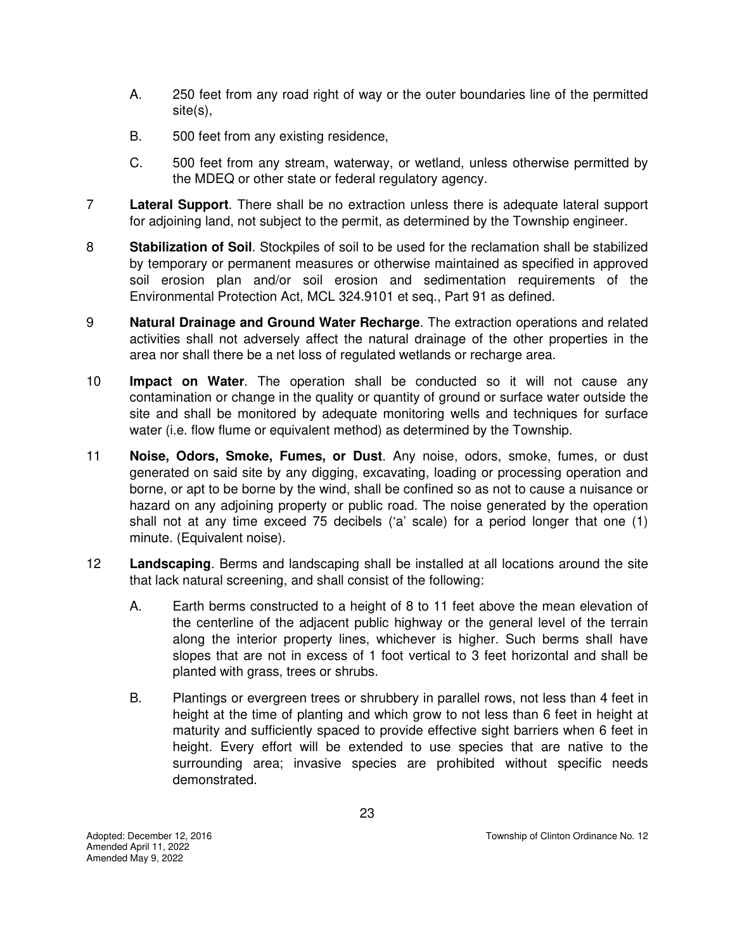- A. 250 feet from any road right of way or the outer boundaries line of the permitted site(s),
- B. 500 feet from any existing residence,
- C. 500 feet from any stream, waterway, or wetland, unless otherwise permitted by the MDEQ or other state or federal regulatory agency.
- 7 **Lateral Support**. There shall be no extraction unless there is adequate lateral support for adjoining land, not subject to the permit, as determined by the Township engineer.
- 8 **Stabilization of Soil**. Stockpiles of soil to be used for the reclamation shall be stabilized by temporary or permanent measures or otherwise maintained as specified in approved soil erosion plan and/or soil erosion and sedimentation requirements of the Environmental Protection Act, MCL 324.9101 et seq., Part 91 as defined.
- 9 **Natural Drainage and Ground Water Recharge**. The extraction operations and related activities shall not adversely affect the natural drainage of the other properties in the area nor shall there be a net loss of regulated wetlands or recharge area.
- 10 **Impact on Water**. The operation shall be conducted so it will not cause any contamination or change in the quality or quantity of ground or surface water outside the site and shall be monitored by adequate monitoring wells and techniques for surface water (i.e. flow flume or equivalent method) as determined by the Township.
- 11 **Noise, Odors, Smoke, Fumes, or Dust**. Any noise, odors, smoke, fumes, or dust generated on said site by any digging, excavating, loading or processing operation and borne, or apt to be borne by the wind, shall be confined so as not to cause a nuisance or hazard on any adjoining property or public road. The noise generated by the operation shall not at any time exceed 75 decibels ('a' scale) for a period longer that one (1) minute. (Equivalent noise).
- 12 **Landscaping**. Berms and landscaping shall be installed at all locations around the site that lack natural screening, and shall consist of the following:
	- A. Earth berms constructed to a height of 8 to 11 feet above the mean elevation of the centerline of the adjacent public highway or the general level of the terrain along the interior property lines, whichever is higher. Such berms shall have slopes that are not in excess of 1 foot vertical to 3 feet horizontal and shall be planted with grass, trees or shrubs.
	- B. Plantings or evergreen trees or shrubbery in parallel rows, not less than 4 feet in height at the time of planting and which grow to not less than 6 feet in height at maturity and sufficiently spaced to provide effective sight barriers when 6 feet in height. Every effort will be extended to use species that are native to the surrounding area; invasive species are prohibited without specific needs demonstrated.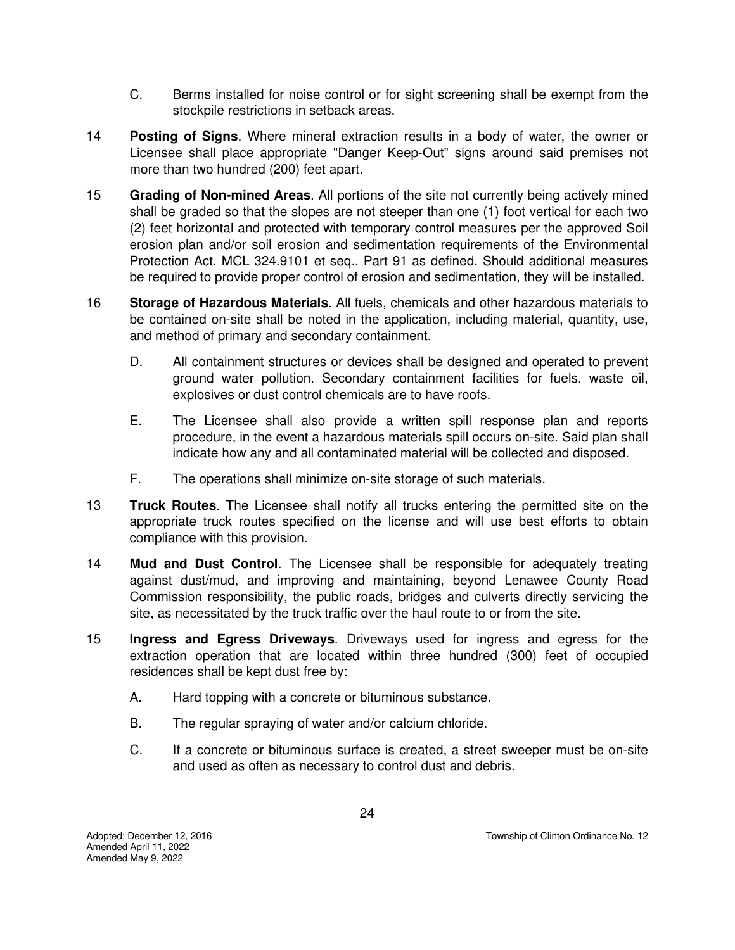- C. Berms installed for noise control or for sight screening shall be exempt from the stockpile restrictions in setback areas.
- 14 **Posting of Signs**. Where mineral extraction results in a body of water, the owner or Licensee shall place appropriate "Danger Keep-Out" signs around said premises not more than two hundred (200) feet apart.
- 15 **Grading of Non-mined Areas**. All portions of the site not currently being actively mined shall be graded so that the slopes are not steeper than one (1) foot vertical for each two (2) feet horizontal and protected with temporary control measures per the approved Soil erosion plan and/or soil erosion and sedimentation requirements of the Environmental Protection Act, MCL 324.9101 et seq., Part 91 as defined. Should additional measures be required to provide proper control of erosion and sedimentation, they will be installed.
- 16 **Storage of Hazardous Materials**. All fuels, chemicals and other hazardous materials to be contained on-site shall be noted in the application, including material, quantity, use, and method of primary and secondary containment.
	- D. All containment structures or devices shall be designed and operated to prevent ground water pollution. Secondary containment facilities for fuels, waste oil, explosives or dust control chemicals are to have roofs.
	- E. The Licensee shall also provide a written spill response plan and reports procedure, in the event a hazardous materials spill occurs on-site. Said plan shall indicate how any and all contaminated material will be collected and disposed.
	- F. The operations shall minimize on-site storage of such materials.
- 13 **Truck Routes**. The Licensee shall notify all trucks entering the permitted site on the appropriate truck routes specified on the license and will use best efforts to obtain compliance with this provision.
- 14 **Mud and Dust Control**. The Licensee shall be responsible for adequately treating against dust/mud, and improving and maintaining, beyond Lenawee County Road Commission responsibility, the public roads, bridges and culverts directly servicing the site, as necessitated by the truck traffic over the haul route to or from the site.
- 15 **Ingress and Egress Driveways**. Driveways used for ingress and egress for the extraction operation that are located within three hundred (300) feet of occupied residences shall be kept dust free by:
	- A. Hard topping with a concrete or bituminous substance.
	- B. The regular spraying of water and/or calcium chloride.
	- C. If a concrete or bituminous surface is created, a street sweeper must be on-site and used as often as necessary to control dust and debris.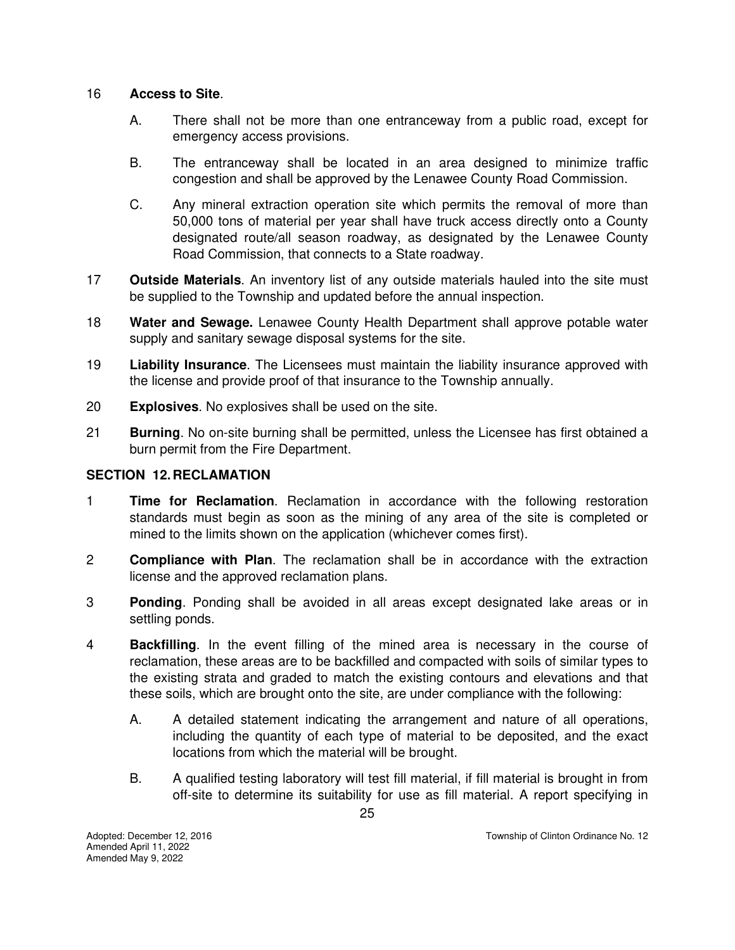#### 16 **Access to Site**.

- A. There shall not be more than one entranceway from a public road, except for emergency access provisions.
- B. The entranceway shall be located in an area designed to minimize traffic congestion and shall be approved by the Lenawee County Road Commission.
- C. Any mineral extraction operation site which permits the removal of more than 50,000 tons of material per year shall have truck access directly onto a County designated route/all season roadway, as designated by the Lenawee County Road Commission, that connects to a State roadway.
- 17 **Outside Materials**. An inventory list of any outside materials hauled into the site must be supplied to the Township and updated before the annual inspection.
- 18 **Water and Sewage.** Lenawee County Health Department shall approve potable water supply and sanitary sewage disposal systems for the site.
- 19 **Liability Insurance**. The Licensees must maintain the liability insurance approved with the license and provide proof of that insurance to the Township annually.
- 20 **Explosives**. No explosives shall be used on the site.
- 21 **Burning**. No on-site burning shall be permitted, unless the Licensee has first obtained a burn permit from the Fire Department.

#### **SECTION 12. RECLAMATION**

- 1 **Time for Reclamation**. Reclamation in accordance with the following restoration standards must begin as soon as the mining of any area of the site is completed or mined to the limits shown on the application (whichever comes first).
- 2 **Compliance with Plan**. The reclamation shall be in accordance with the extraction license and the approved reclamation plans.
- 3 **Ponding**. Ponding shall be avoided in all areas except designated lake areas or in settling ponds.
- 4 **Backfilling**. In the event filling of the mined area is necessary in the course of reclamation, these areas are to be backfilled and compacted with soils of similar types to the existing strata and graded to match the existing contours and elevations and that these soils, which are brought onto the site, are under compliance with the following:
	- A. A detailed statement indicating the arrangement and nature of all operations, including the quantity of each type of material to be deposited, and the exact locations from which the material will be brought.
	- B. A qualified testing laboratory will test fill material, if fill material is brought in from off-site to determine its suitability for use as fill material. A report specifying in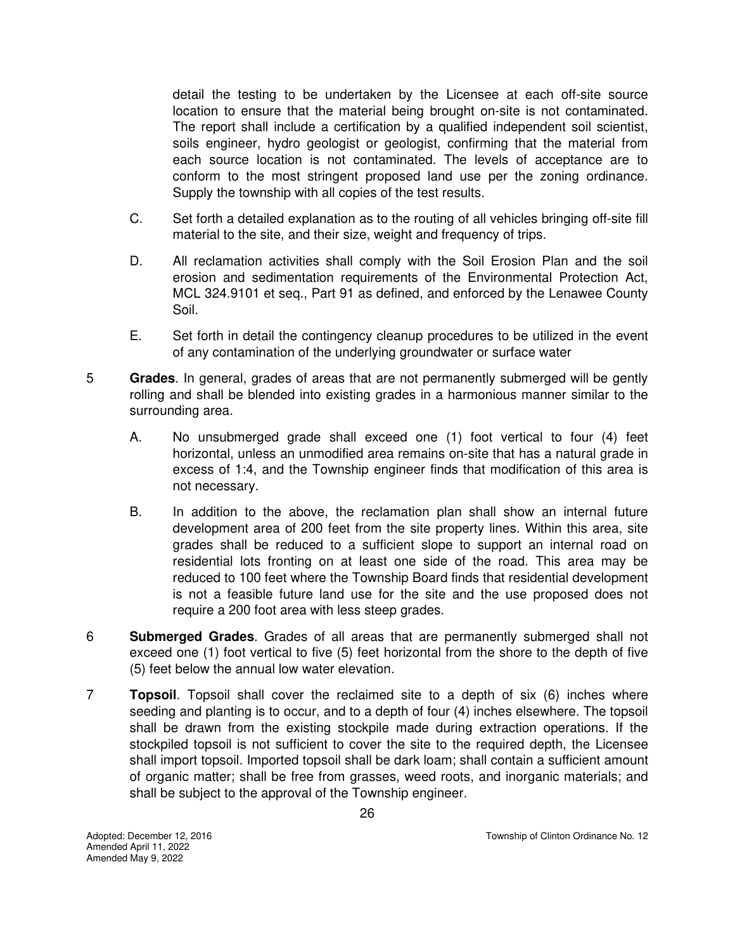detail the testing to be undertaken by the Licensee at each off-site source location to ensure that the material being brought on-site is not contaminated. The report shall include a certification by a qualified independent soil scientist, soils engineer, hydro geologist or geologist, confirming that the material from each source location is not contaminated. The levels of acceptance are to conform to the most stringent proposed land use per the zoning ordinance. Supply the township with all copies of the test results.

- C. Set forth a detailed explanation as to the routing of all vehicles bringing off-site fill material to the site, and their size, weight and frequency of trips.
- D. All reclamation activities shall comply with the Soil Erosion Plan and the soil erosion and sedimentation requirements of the Environmental Protection Act, MCL 324.9101 et seq., Part 91 as defined, and enforced by the Lenawee County Soil.
- E. Set forth in detail the contingency cleanup procedures to be utilized in the event of any contamination of the underlying groundwater or surface water
- 5 **Grades**. In general, grades of areas that are not permanently submerged will be gently rolling and shall be blended into existing grades in a harmonious manner similar to the surrounding area.
	- A. No unsubmerged grade shall exceed one (1) foot vertical to four (4) feet horizontal, unless an unmodified area remains on-site that has a natural grade in excess of 1:4, and the Township engineer finds that modification of this area is not necessary.
	- B. In addition to the above, the reclamation plan shall show an internal future development area of 200 feet from the site property lines. Within this area, site grades shall be reduced to a sufficient slope to support an internal road on residential lots fronting on at least one side of the road. This area may be reduced to 100 feet where the Township Board finds that residential development is not a feasible future land use for the site and the use proposed does not require a 200 foot area with less steep grades.
- 6 **Submerged Grades**. Grades of all areas that are permanently submerged shall not exceed one (1) foot vertical to five (5) feet horizontal from the shore to the depth of five (5) feet below the annual low water elevation.
- 7 **Topsoil**. Topsoil shall cover the reclaimed site to a depth of six (6) inches where seeding and planting is to occur, and to a depth of four (4) inches elsewhere. The topsoil shall be drawn from the existing stockpile made during extraction operations. If the stockpiled topsoil is not sufficient to cover the site to the required depth, the Licensee shall import topsoil. Imported topsoil shall be dark loam; shall contain a sufficient amount of organic matter; shall be free from grasses, weed roots, and inorganic materials; and shall be subject to the approval of the Township engineer.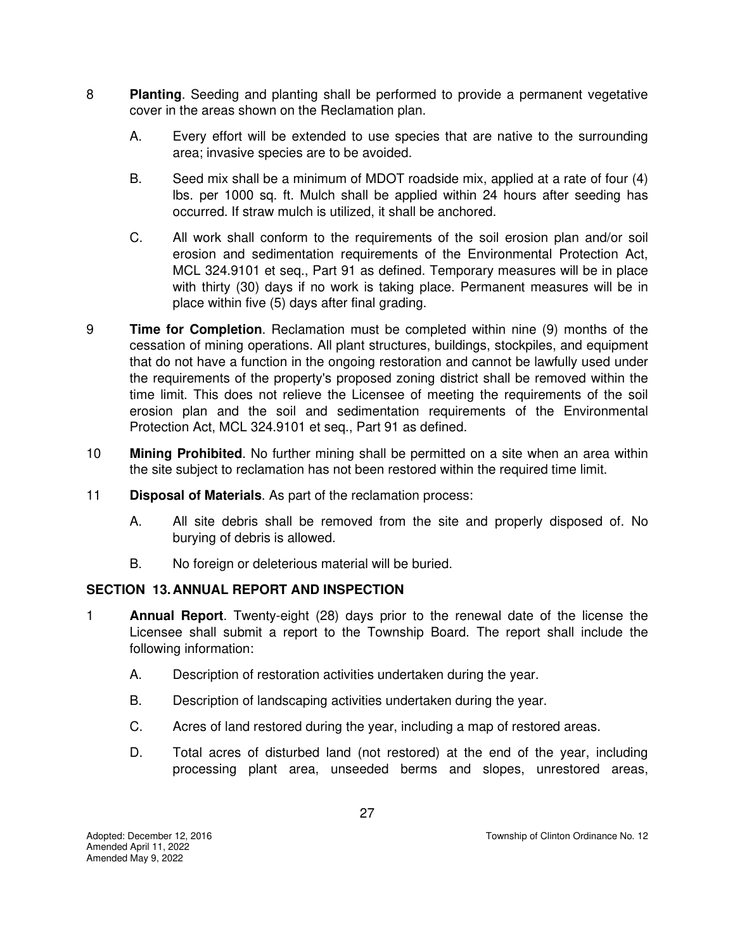- 8 **Planting**. Seeding and planting shall be performed to provide a permanent vegetative cover in the areas shown on the Reclamation plan.
	- A. Every effort will be extended to use species that are native to the surrounding area; invasive species are to be avoided.
	- B. Seed mix shall be a minimum of MDOT roadside mix, applied at a rate of four (4) lbs. per 1000 sq. ft. Mulch shall be applied within 24 hours after seeding has occurred. If straw mulch is utilized, it shall be anchored.
	- C. All work shall conform to the requirements of the soil erosion plan and/or soil erosion and sedimentation requirements of the Environmental Protection Act, MCL 324.9101 et seq., Part 91 as defined. Temporary measures will be in place with thirty (30) days if no work is taking place. Permanent measures will be in place within five (5) days after final grading.
- 9 **Time for Completion**. Reclamation must be completed within nine (9) months of the cessation of mining operations. All plant structures, buildings, stockpiles, and equipment that do not have a function in the ongoing restoration and cannot be lawfully used under the requirements of the property's proposed zoning district shall be removed within the time limit. This does not relieve the Licensee of meeting the requirements of the soil erosion plan and the soil and sedimentation requirements of the Environmental Protection Act, MCL 324.9101 et seq., Part 91 as defined.
- 10 **Mining Prohibited**. No further mining shall be permitted on a site when an area within the site subject to reclamation has not been restored within the required time limit.
- 11 **Disposal of Materials**. As part of the reclamation process:
	- A. All site debris shall be removed from the site and properly disposed of. No burying of debris is allowed.
	- B. No foreign or deleterious material will be buried.

#### **SECTION 13. ANNUAL REPORT AND INSPECTION**

- 1 **Annual Report**. Twenty-eight (28) days prior to the renewal date of the license the Licensee shall submit a report to the Township Board. The report shall include the following information:
	- A. Description of restoration activities undertaken during the year.
	- B. Description of landscaping activities undertaken during the year.
	- C. Acres of land restored during the year, including a map of restored areas.
	- D. Total acres of disturbed land (not restored) at the end of the year, including processing plant area, unseeded berms and slopes, unrestored areas,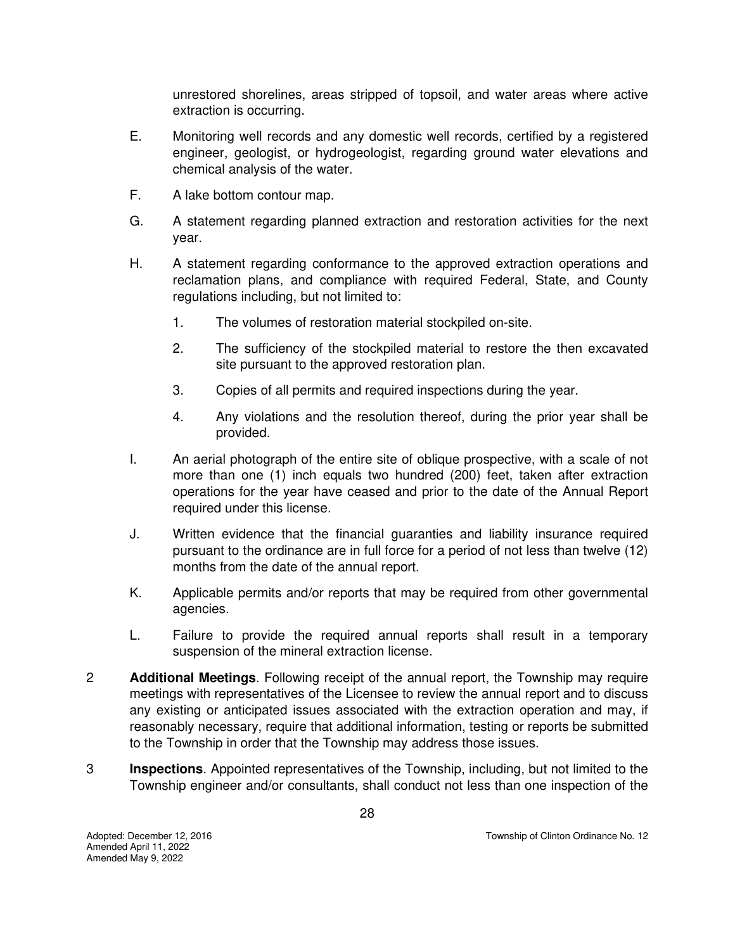unrestored shorelines, areas stripped of topsoil, and water areas where active extraction is occurring.

- E. Monitoring well records and any domestic well records, certified by a registered engineer, geologist, or hydrogeologist, regarding ground water elevations and chemical analysis of the water.
- F. A lake bottom contour map.
- G. A statement regarding planned extraction and restoration activities for the next year.
- H. A statement regarding conformance to the approved extraction operations and reclamation plans, and compliance with required Federal, State, and County regulations including, but not limited to:
	- 1. The volumes of restoration material stockpiled on-site.
	- 2. The sufficiency of the stockpiled material to restore the then excavated site pursuant to the approved restoration plan.
	- 3. Copies of all permits and required inspections during the year.
	- 4. Any violations and the resolution thereof, during the prior year shall be provided.
- I. An aerial photograph of the entire site of oblique prospective, with a scale of not more than one (1) inch equals two hundred (200) feet, taken after extraction operations for the year have ceased and prior to the date of the Annual Report required under this license.
- J. Written evidence that the financial guaranties and liability insurance required pursuant to the ordinance are in full force for a period of not less than twelve (12) months from the date of the annual report.
- K. Applicable permits and/or reports that may be required from other governmental agencies.
- L. Failure to provide the required annual reports shall result in a temporary suspension of the mineral extraction license.
- 2 **Additional Meetings**. Following receipt of the annual report, the Township may require meetings with representatives of the Licensee to review the annual report and to discuss any existing or anticipated issues associated with the extraction operation and may, if reasonably necessary, require that additional information, testing or reports be submitted to the Township in order that the Township may address those issues.
- 3 **Inspections**. Appointed representatives of the Township, including, but not limited to the Township engineer and/or consultants, shall conduct not less than one inspection of the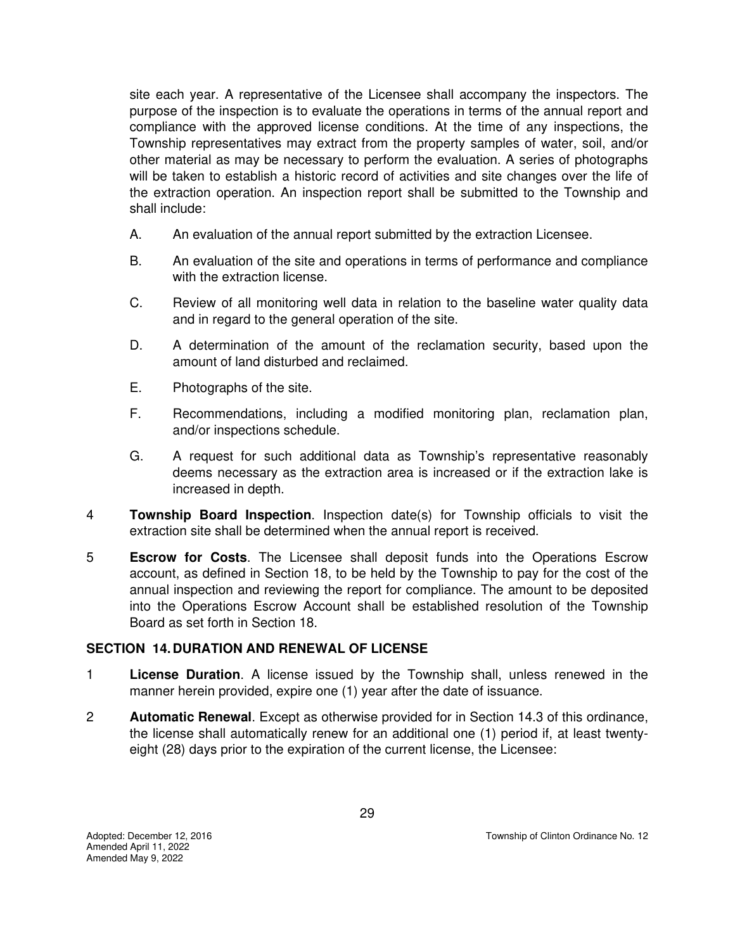site each year. A representative of the Licensee shall accompany the inspectors. The purpose of the inspection is to evaluate the operations in terms of the annual report and compliance with the approved license conditions. At the time of any inspections, the Township representatives may extract from the property samples of water, soil, and/or other material as may be necessary to perform the evaluation. A series of photographs will be taken to establish a historic record of activities and site changes over the life of the extraction operation. An inspection report shall be submitted to the Township and shall include:

- A. An evaluation of the annual report submitted by the extraction Licensee.
- B. An evaluation of the site and operations in terms of performance and compliance with the extraction license.
- C. Review of all monitoring well data in relation to the baseline water quality data and in regard to the general operation of the site.
- D. A determination of the amount of the reclamation security, based upon the amount of land disturbed and reclaimed.
- E. Photographs of the site.
- F. Recommendations, including a modified monitoring plan, reclamation plan, and/or inspections schedule.
- G. A request for such additional data as Township's representative reasonably deems necessary as the extraction area is increased or if the extraction lake is increased in depth.
- 4 **Township Board Inspection**. Inspection date(s) for Township officials to visit the extraction site shall be determined when the annual report is received.
- 5 **Escrow for Costs**. The Licensee shall deposit funds into the Operations Escrow account, as defined in Section 18, to be held by the Township to pay for the cost of the annual inspection and reviewing the report for compliance. The amount to be deposited into the Operations Escrow Account shall be established resolution of the Township Board as set forth in Section 18.

#### **SECTION 14. DURATION AND RENEWAL OF LICENSE**

- 1 **License Duration**. A license issued by the Township shall, unless renewed in the manner herein provided, expire one (1) year after the date of issuance.
- 2 **Automatic Renewal**. Except as otherwise provided for in Section 14.3 of this ordinance, the license shall automatically renew for an additional one (1) period if, at least twentyeight (28) days prior to the expiration of the current license, the Licensee: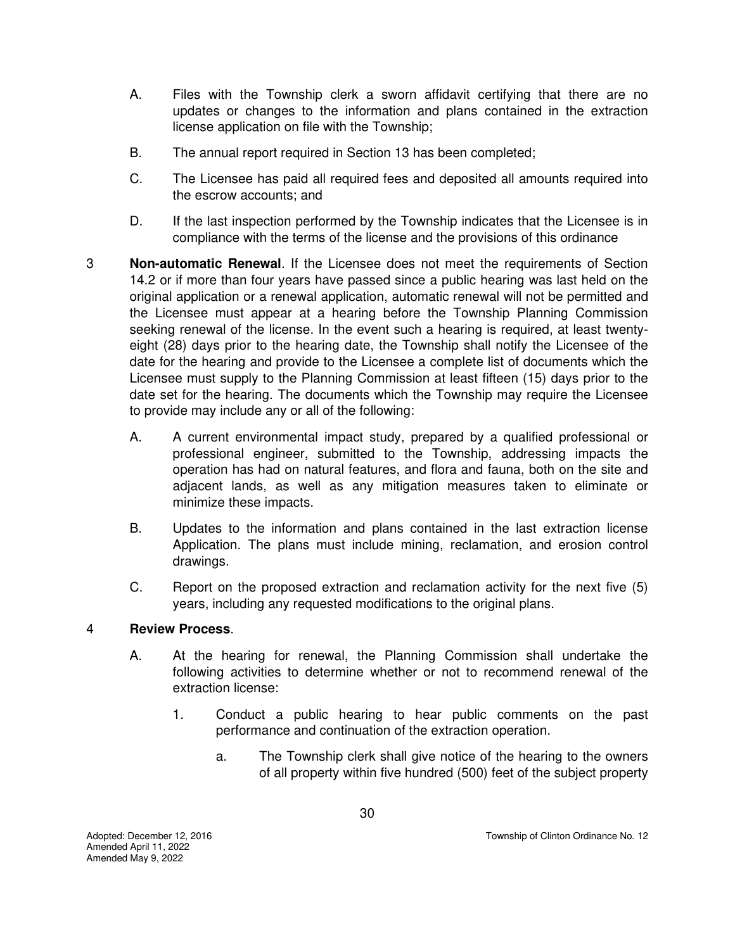- A. Files with the Township clerk a sworn affidavit certifying that there are no updates or changes to the information and plans contained in the extraction license application on file with the Township;
- B. The annual report required in Section 13 has been completed;
- C. The Licensee has paid all required fees and deposited all amounts required into the escrow accounts; and
- D. If the last inspection performed by the Township indicates that the Licensee is in compliance with the terms of the license and the provisions of this ordinance
- 3 **Non-automatic Renewal**. If the Licensee does not meet the requirements of Section 14.2 or if more than four years have passed since a public hearing was last held on the original application or a renewal application, automatic renewal will not be permitted and the Licensee must appear at a hearing before the Township Planning Commission seeking renewal of the license. In the event such a hearing is required, at least twentyeight (28) days prior to the hearing date, the Township shall notify the Licensee of the date for the hearing and provide to the Licensee a complete list of documents which the Licensee must supply to the Planning Commission at least fifteen (15) days prior to the date set for the hearing. The documents which the Township may require the Licensee to provide may include any or all of the following:
	- A. A current environmental impact study, prepared by a qualified professional or professional engineer, submitted to the Township, addressing impacts the operation has had on natural features, and flora and fauna, both on the site and adjacent lands, as well as any mitigation measures taken to eliminate or minimize these impacts.
	- B. Updates to the information and plans contained in the last extraction license Application. The plans must include mining, reclamation, and erosion control drawings.
	- C. Report on the proposed extraction and reclamation activity for the next five (5) years, including any requested modifications to the original plans.

#### 4 **Review Process**.

- A. At the hearing for renewal, the Planning Commission shall undertake the following activities to determine whether or not to recommend renewal of the extraction license:
	- 1. Conduct a public hearing to hear public comments on the past performance and continuation of the extraction operation.
		- a. The Township clerk shall give notice of the hearing to the owners of all property within five hundred (500) feet of the subject property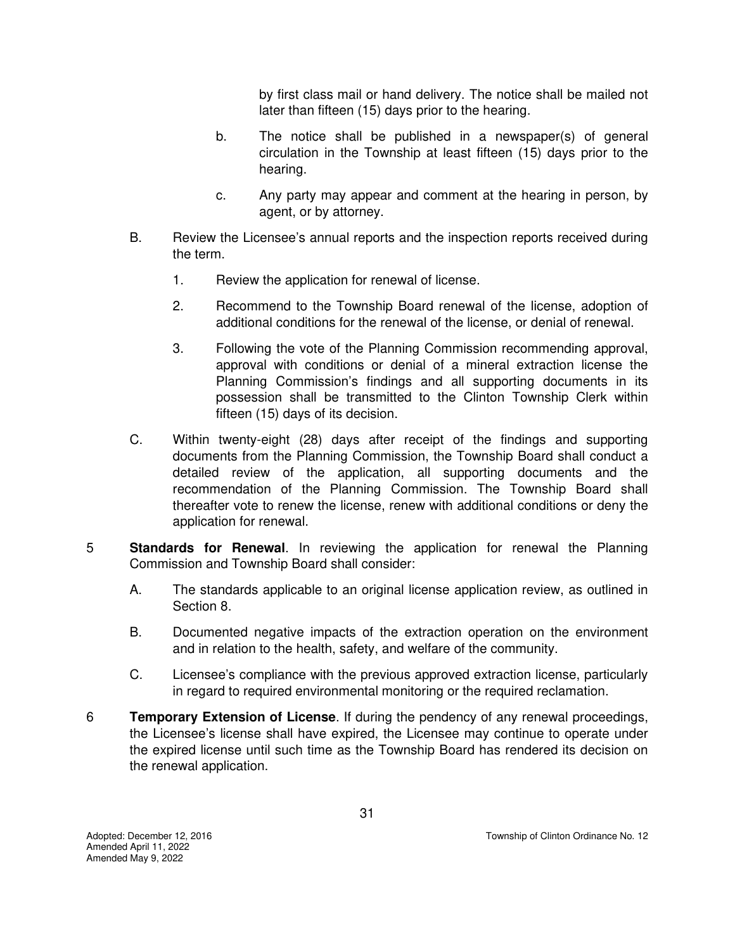by first class mail or hand delivery. The notice shall be mailed not later than fifteen (15) days prior to the hearing.

- b. The notice shall be published in a newspaper(s) of general circulation in the Township at least fifteen (15) days prior to the hearing.
- c. Any party may appear and comment at the hearing in person, by agent, or by attorney.
- B. Review the Licensee's annual reports and the inspection reports received during the term.
	- 1. Review the application for renewal of license.
	- 2. Recommend to the Township Board renewal of the license, adoption of additional conditions for the renewal of the license, or denial of renewal.
	- 3. Following the vote of the Planning Commission recommending approval, approval with conditions or denial of a mineral extraction license the Planning Commission's findings and all supporting documents in its possession shall be transmitted to the Clinton Township Clerk within fifteen (15) days of its decision.
- C. Within twenty-eight (28) days after receipt of the findings and supporting documents from the Planning Commission, the Township Board shall conduct a detailed review of the application, all supporting documents and the recommendation of the Planning Commission. The Township Board shall thereafter vote to renew the license, renew with additional conditions or deny the application for renewal.
- 5 **Standards for Renewal**. In reviewing the application for renewal the Planning Commission and Township Board shall consider:
	- A. The standards applicable to an original license application review, as outlined in Section 8.
	- B. Documented negative impacts of the extraction operation on the environment and in relation to the health, safety, and welfare of the community.
	- C. Licensee's compliance with the previous approved extraction license, particularly in regard to required environmental monitoring or the required reclamation.
- 6 **Temporary Extension of License**. If during the pendency of any renewal proceedings, the Licensee's license shall have expired, the Licensee may continue to operate under the expired license until such time as the Township Board has rendered its decision on the renewal application.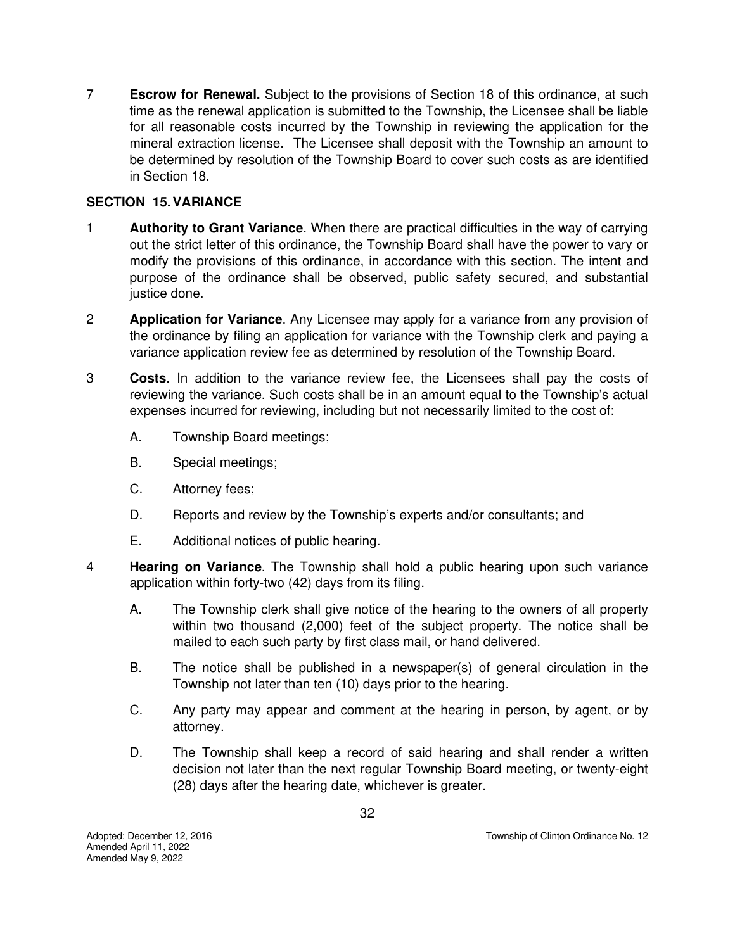7 **Escrow for Renewal.** Subject to the provisions of Section 18 of this ordinance, at such time as the renewal application is submitted to the Township, the Licensee shall be liable for all reasonable costs incurred by the Township in reviewing the application for the mineral extraction license. The Licensee shall deposit with the Township an amount to be determined by resolution of the Township Board to cover such costs as are identified in Section 18.

# **SECTION 15. VARIANCE**

- 1 **Authority to Grant Variance**. When there are practical difficulties in the way of carrying out the strict letter of this ordinance, the Township Board shall have the power to vary or modify the provisions of this ordinance, in accordance with this section. The intent and purpose of the ordinance shall be observed, public safety secured, and substantial justice done.
- 2 **Application for Variance**. Any Licensee may apply for a variance from any provision of the ordinance by filing an application for variance with the Township clerk and paying a variance application review fee as determined by resolution of the Township Board.
- 3 **Costs**. In addition to the variance review fee, the Licensees shall pay the costs of reviewing the variance. Such costs shall be in an amount equal to the Township's actual expenses incurred for reviewing, including but not necessarily limited to the cost of:
	- A. Township Board meetings;
	- B. Special meetings;
	- C. Attorney fees;
	- D. Reports and review by the Township's experts and/or consultants; and
	- E. Additional notices of public hearing.
- 4 **Hearing on Variance**. The Township shall hold a public hearing upon such variance application within forty-two (42) days from its filing.
	- A. The Township clerk shall give notice of the hearing to the owners of all property within two thousand (2,000) feet of the subject property. The notice shall be mailed to each such party by first class mail, or hand delivered.
	- B. The notice shall be published in a newspaper(s) of general circulation in the Township not later than ten (10) days prior to the hearing.
	- C. Any party may appear and comment at the hearing in person, by agent, or by attorney.
	- D. The Township shall keep a record of said hearing and shall render a written decision not later than the next regular Township Board meeting, or twenty-eight (28) days after the hearing date, whichever is greater.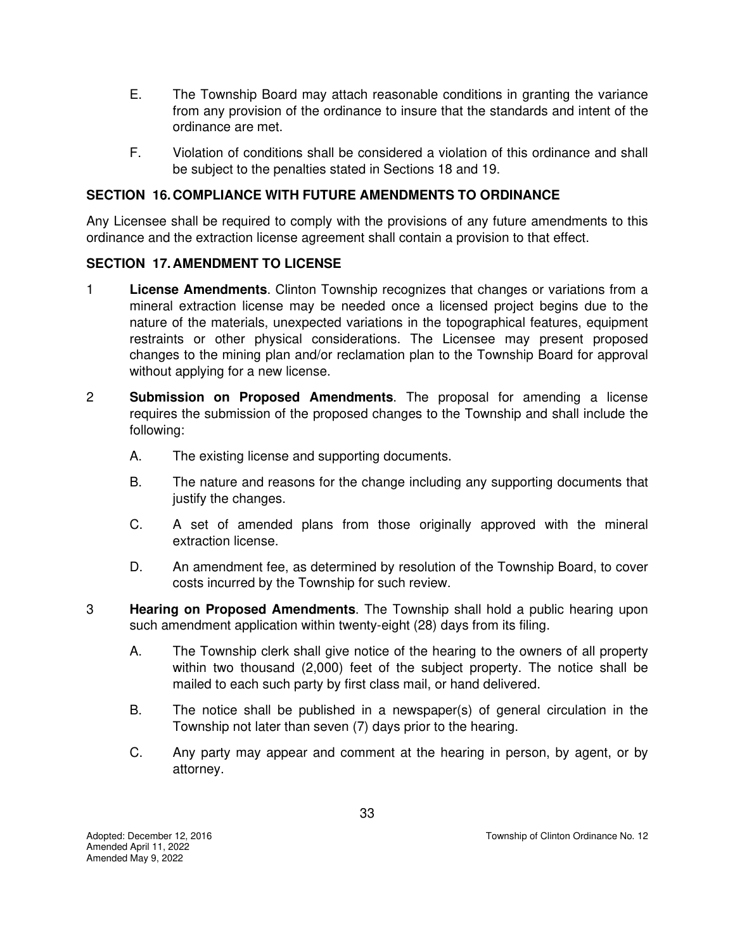- E. The Township Board may attach reasonable conditions in granting the variance from any provision of the ordinance to insure that the standards and intent of the ordinance are met.
- F. Violation of conditions shall be considered a violation of this ordinance and shall be subject to the penalties stated in Sections 18 and 19.

# **SECTION 16. COMPLIANCE WITH FUTURE AMENDMENTS TO ORDINANCE**

Any Licensee shall be required to comply with the provisions of any future amendments to this ordinance and the extraction license agreement shall contain a provision to that effect.

#### **SECTION 17. AMENDMENT TO LICENSE**

- 1 **License Amendments**. Clinton Township recognizes that changes or variations from a mineral extraction license may be needed once a licensed project begins due to the nature of the materials, unexpected variations in the topographical features, equipment restraints or other physical considerations. The Licensee may present proposed changes to the mining plan and/or reclamation plan to the Township Board for approval without applying for a new license.
- 2 **Submission on Proposed Amendments**. The proposal for amending a license requires the submission of the proposed changes to the Township and shall include the following:
	- A. The existing license and supporting documents.
	- B. The nature and reasons for the change including any supporting documents that justify the changes.
	- C. A set of amended plans from those originally approved with the mineral extraction license.
	- D. An amendment fee, as determined by resolution of the Township Board, to cover costs incurred by the Township for such review.
- 3 **Hearing on Proposed Amendments**. The Township shall hold a public hearing upon such amendment application within twenty-eight (28) days from its filing.
	- A. The Township clerk shall give notice of the hearing to the owners of all property within two thousand (2,000) feet of the subject property. The notice shall be mailed to each such party by first class mail, or hand delivered.
	- B. The notice shall be published in a newspaper(s) of general circulation in the Township not later than seven (7) days prior to the hearing.
	- C. Any party may appear and comment at the hearing in person, by agent, or by attorney.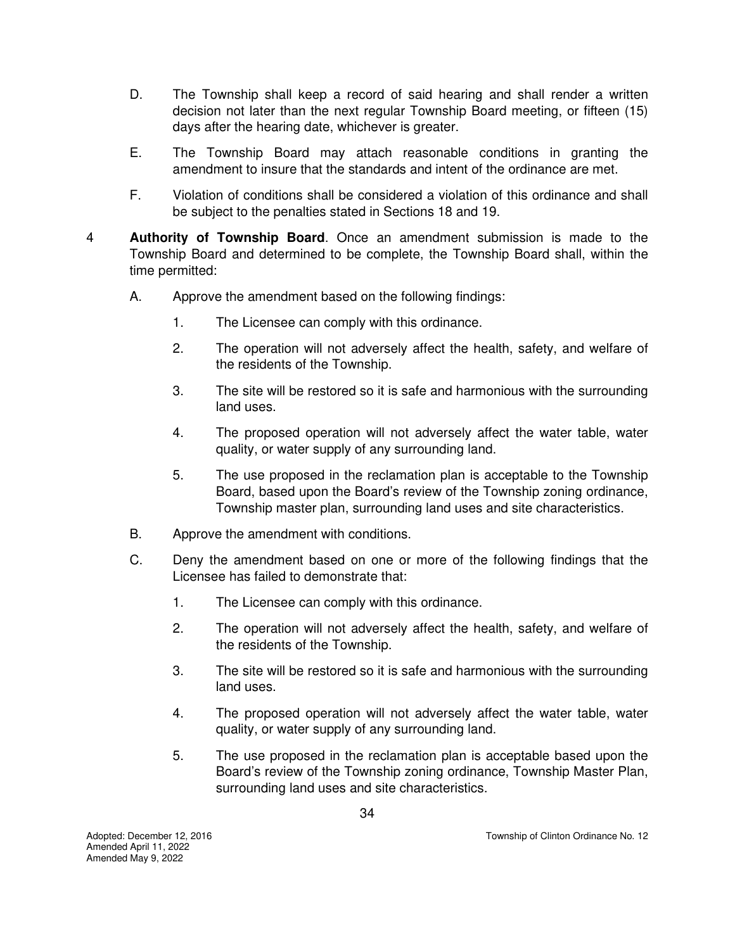- D. The Township shall keep a record of said hearing and shall render a written decision not later than the next regular Township Board meeting, or fifteen (15) days after the hearing date, whichever is greater.
- E. The Township Board may attach reasonable conditions in granting the amendment to insure that the standards and intent of the ordinance are met.
- F. Violation of conditions shall be considered a violation of this ordinance and shall be subject to the penalties stated in Sections 18 and 19.
- 4 **Authority of Township Board**. Once an amendment submission is made to the Township Board and determined to be complete, the Township Board shall, within the time permitted:
	- A. Approve the amendment based on the following findings:
		- 1. The Licensee can comply with this ordinance.
		- 2. The operation will not adversely affect the health, safety, and welfare of the residents of the Township.
		- 3. The site will be restored so it is safe and harmonious with the surrounding land uses.
		- 4. The proposed operation will not adversely affect the water table, water quality, or water supply of any surrounding land.
		- 5. The use proposed in the reclamation plan is acceptable to the Township Board, based upon the Board's review of the Township zoning ordinance, Township master plan, surrounding land uses and site characteristics.
	- B. Approve the amendment with conditions.
	- C. Deny the amendment based on one or more of the following findings that the Licensee has failed to demonstrate that:
		- 1. The Licensee can comply with this ordinance.
		- 2. The operation will not adversely affect the health, safety, and welfare of the residents of the Township.
		- 3. The site will be restored so it is safe and harmonious with the surrounding land uses.
		- 4. The proposed operation will not adversely affect the water table, water quality, or water supply of any surrounding land.
		- 5. The use proposed in the reclamation plan is acceptable based upon the Board's review of the Township zoning ordinance, Township Master Plan, surrounding land uses and site characteristics.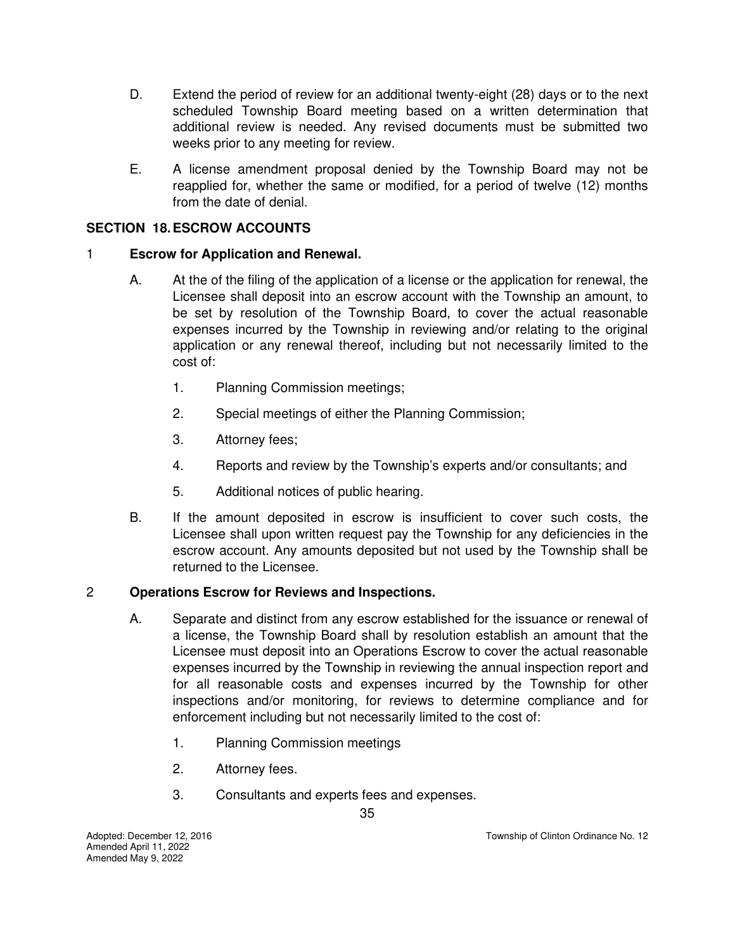- D. Extend the period of review for an additional twenty-eight (28) days or to the next scheduled Township Board meeting based on a written determination that additional review is needed. Any revised documents must be submitted two weeks prior to any meeting for review.
- E. A license amendment proposal denied by the Township Board may not be reapplied for, whether the same or modified, for a period of twelve (12) months from the date of denial.

# **SECTION 18. ESCROW ACCOUNTS**

#### 1 **Escrow for Application and Renewal.**

- A. At the of the filing of the application of a license or the application for renewal, the Licensee shall deposit into an escrow account with the Township an amount, to be set by resolution of the Township Board, to cover the actual reasonable expenses incurred by the Township in reviewing and/or relating to the original application or any renewal thereof, including but not necessarily limited to the cost of:
	- 1. Planning Commission meetings;
	- 2. Special meetings of either the Planning Commission;
	- 3. Attorney fees;
	- 4. Reports and review by the Township's experts and/or consultants; and
	- 5. Additional notices of public hearing.
- B. If the amount deposited in escrow is insufficient to cover such costs, the Licensee shall upon written request pay the Township for any deficiencies in the escrow account. Any amounts deposited but not used by the Township shall be returned to the Licensee.

#### 2 **Operations Escrow for Reviews and Inspections.**

- A. Separate and distinct from any escrow established for the issuance or renewal of a license, the Township Board shall by resolution establish an amount that the Licensee must deposit into an Operations Escrow to cover the actual reasonable expenses incurred by the Township in reviewing the annual inspection report and for all reasonable costs and expenses incurred by the Township for other inspections and/or monitoring, for reviews to determine compliance and for enforcement including but not necessarily limited to the cost of:
	- 1. Planning Commission meetings
	- 2. Attorney fees.
	- 3. Consultants and experts fees and expenses.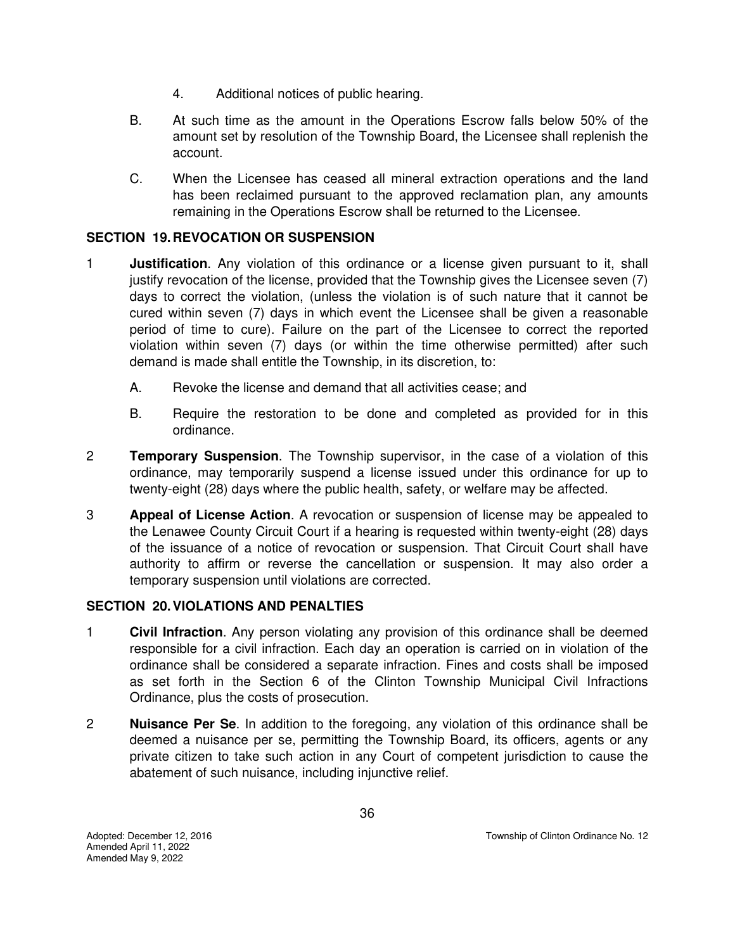- 4. Additional notices of public hearing.
- B. At such time as the amount in the Operations Escrow falls below 50% of the amount set by resolution of the Township Board, the Licensee shall replenish the account.
- C. When the Licensee has ceased all mineral extraction operations and the land has been reclaimed pursuant to the approved reclamation plan, any amounts remaining in the Operations Escrow shall be returned to the Licensee.

# **SECTION 19. REVOCATION OR SUSPENSION**

- 1 **Justification**. Any violation of this ordinance or a license given pursuant to it, shall justify revocation of the license, provided that the Township gives the Licensee seven (7) days to correct the violation, (unless the violation is of such nature that it cannot be cured within seven (7) days in which event the Licensee shall be given a reasonable period of time to cure). Failure on the part of the Licensee to correct the reported violation within seven (7) days (or within the time otherwise permitted) after such demand is made shall entitle the Township, in its discretion, to:
	- A. Revoke the license and demand that all activities cease; and
	- B. Require the restoration to be done and completed as provided for in this ordinance.
- 2 **Temporary Suspension**. The Township supervisor, in the case of a violation of this ordinance, may temporarily suspend a license issued under this ordinance for up to twenty-eight (28) days where the public health, safety, or welfare may be affected.
- 3 **Appeal of License Action**. A revocation or suspension of license may be appealed to the Lenawee County Circuit Court if a hearing is requested within twenty-eight (28) days of the issuance of a notice of revocation or suspension. That Circuit Court shall have authority to affirm or reverse the cancellation or suspension. It may also order a temporary suspension until violations are corrected.

#### **SECTION 20. VIOLATIONS AND PENALTIES**

- 1 **Civil Infraction**. Any person violating any provision of this ordinance shall be deemed responsible for a civil infraction. Each day an operation is carried on in violation of the ordinance shall be considered a separate infraction. Fines and costs shall be imposed as set forth in the Section 6 of the Clinton Township Municipal Civil Infractions Ordinance, plus the costs of prosecution.
- 2 **Nuisance Per Se**. In addition to the foregoing, any violation of this ordinance shall be deemed a nuisance per se, permitting the Township Board, its officers, agents or any private citizen to take such action in any Court of competent jurisdiction to cause the abatement of such nuisance, including injunctive relief.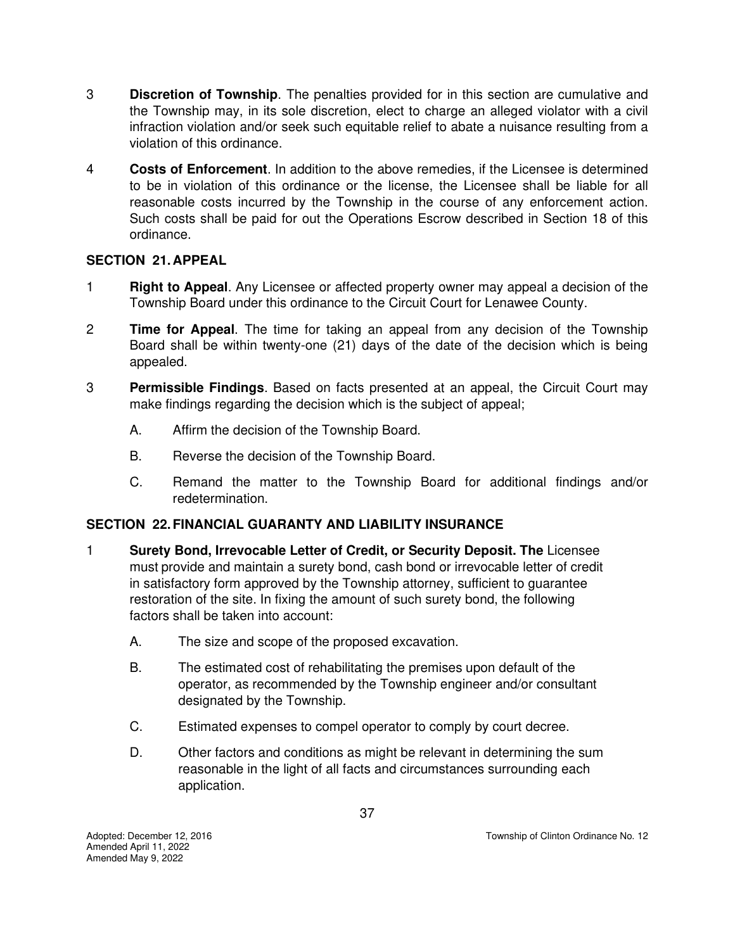- 3 **Discretion of Township**. The penalties provided for in this section are cumulative and the Township may, in its sole discretion, elect to charge an alleged violator with a civil infraction violation and/or seek such equitable relief to abate a nuisance resulting from a violation of this ordinance.
- 4 **Costs of Enforcement**. In addition to the above remedies, if the Licensee is determined to be in violation of this ordinance or the license, the Licensee shall be liable for all reasonable costs incurred by the Township in the course of any enforcement action. Such costs shall be paid for out the Operations Escrow described in Section 18 of this ordinance.

## **SECTION 21. APPEAL**

- 1 **Right to Appeal**. Any Licensee or affected property owner may appeal a decision of the Township Board under this ordinance to the Circuit Court for Lenawee County.
- 2 **Time for Appeal**. The time for taking an appeal from any decision of the Township Board shall be within twenty-one (21) days of the date of the decision which is being appealed.
- 3 **Permissible Findings**. Based on facts presented at an appeal, the Circuit Court may make findings regarding the decision which is the subject of appeal;
	- A. Affirm the decision of the Township Board.
	- B. Reverse the decision of the Township Board.
	- C. Remand the matter to the Township Board for additional findings and/or redetermination.

# **SECTION 22. FINANCIAL GUARANTY AND LIABILITY INSURANCE**

- 1 **Surety Bond, Irrevocable Letter of Credit, or Security Deposit. The** Licensee must provide and maintain a surety bond, cash bond or irrevocable letter of credit in satisfactory form approved by the Township attorney, sufficient to guarantee restoration of the site. In fixing the amount of such surety bond, the following factors shall be taken into account:
	- A. The size and scope of the proposed excavation.
	- B. The estimated cost of rehabilitating the premises upon default of the operator, as recommended by the Township engineer and/or consultant designated by the Township.
	- C. Estimated expenses to compel operator to comply by court decree.
	- D. Other factors and conditions as might be relevant in determining the sum reasonable in the light of all facts and circumstances surrounding each application.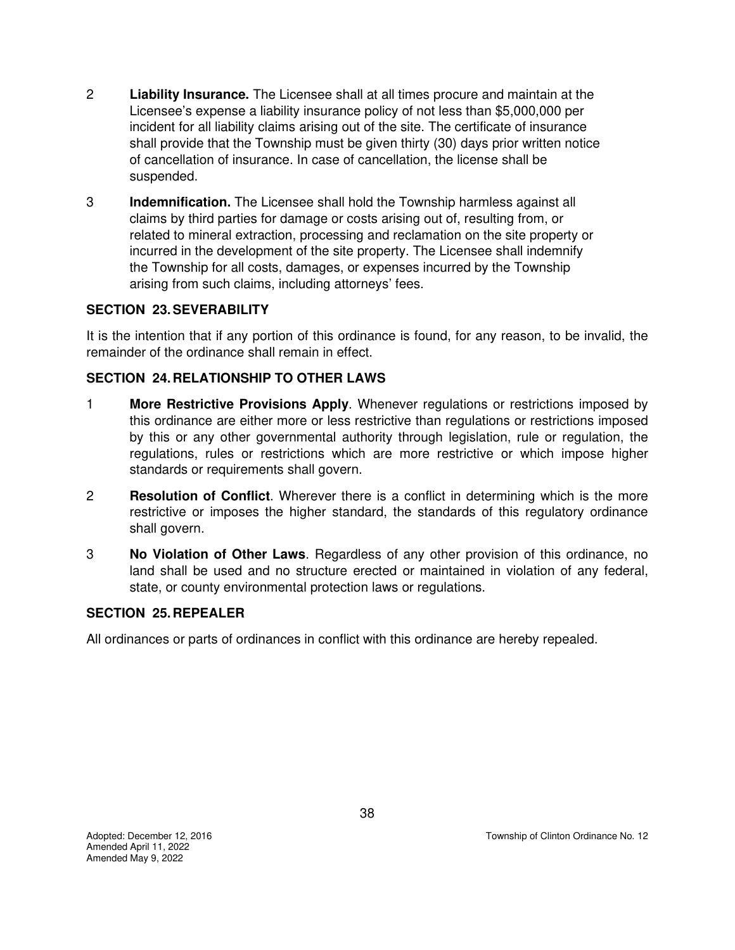- 2 **Liability Insurance.** The Licensee shall at all times procure and maintain at the Licensee's expense a liability insurance policy of not less than \$5,000,000 per incident for all liability claims arising out of the site. The certificate of insurance shall provide that the Township must be given thirty (30) days prior written notice of cancellation of insurance. In case of cancellation, the license shall be suspended.
- 3 **Indemnification.** The Licensee shall hold the Township harmless against all claims by third parties for damage or costs arising out of, resulting from, or related to mineral extraction, processing and reclamation on the site property or incurred in the development of the site property. The Licensee shall indemnify the Township for all costs, damages, or expenses incurred by the Township arising from such claims, including attorneys' fees.

# **SECTION 23. SEVERABILITY**

It is the intention that if any portion of this ordinance is found, for any reason, to be invalid, the remainder of the ordinance shall remain in effect.

## **SECTION 24. RELATIONSHIP TO OTHER LAWS**

- 1 **More Restrictive Provisions Apply**. Whenever regulations or restrictions imposed by this ordinance are either more or less restrictive than regulations or restrictions imposed by this or any other governmental authority through legislation, rule or regulation, the regulations, rules or restrictions which are more restrictive or which impose higher standards or requirements shall govern.
- 2 **Resolution of Conflict**. Wherever there is a conflict in determining which is the more restrictive or imposes the higher standard, the standards of this regulatory ordinance shall govern.
- 3 **No Violation of Other Laws**. Regardless of any other provision of this ordinance, no land shall be used and no structure erected or maintained in violation of any federal, state, or county environmental protection laws or regulations.

## **SECTION 25. REPEALER**

All ordinances or parts of ordinances in conflict with this ordinance are hereby repealed.